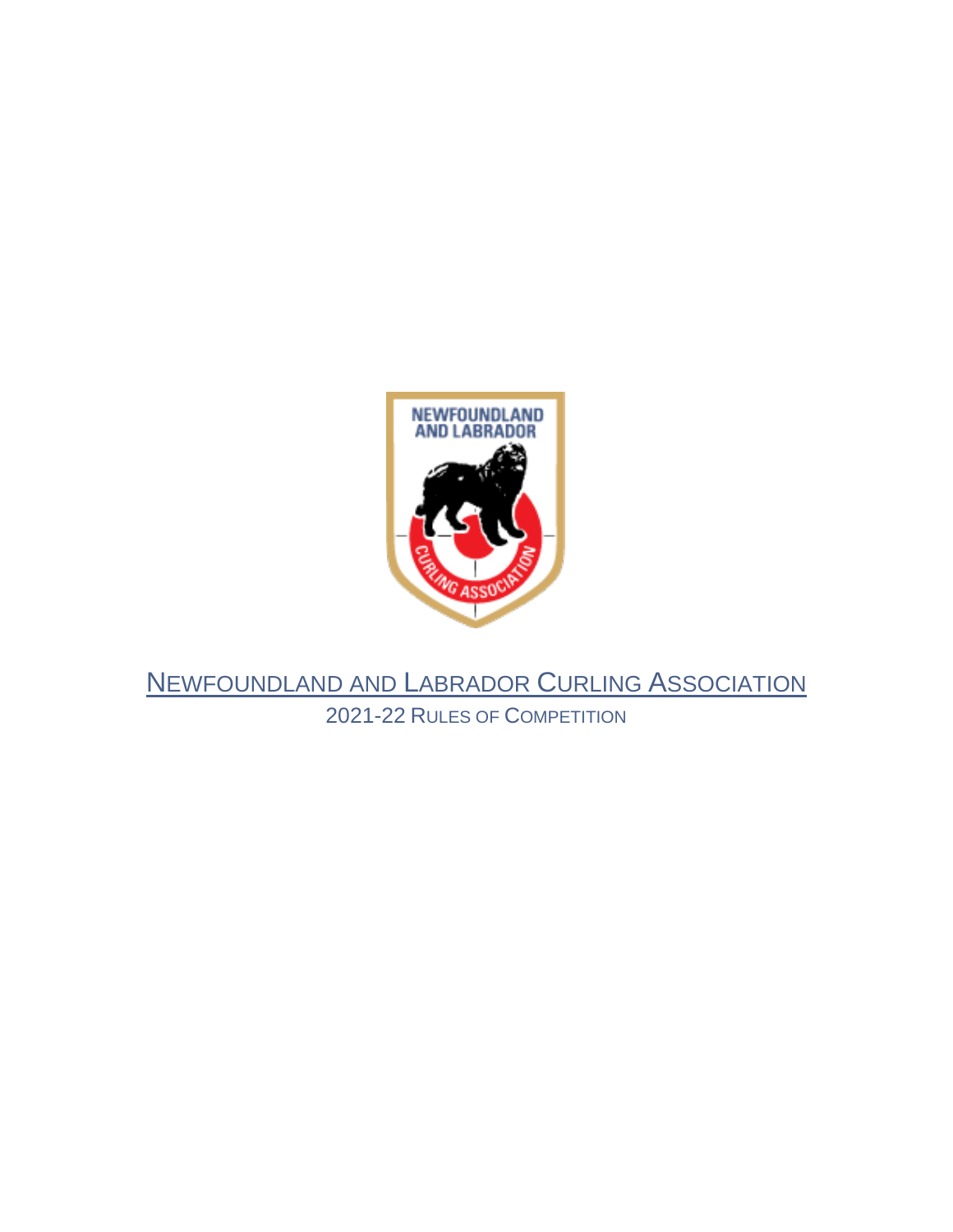

# NEWFOUNDLAND AND LABRADOR CURLING ASSOCIATION 2021-22 RULES OF COMPETITION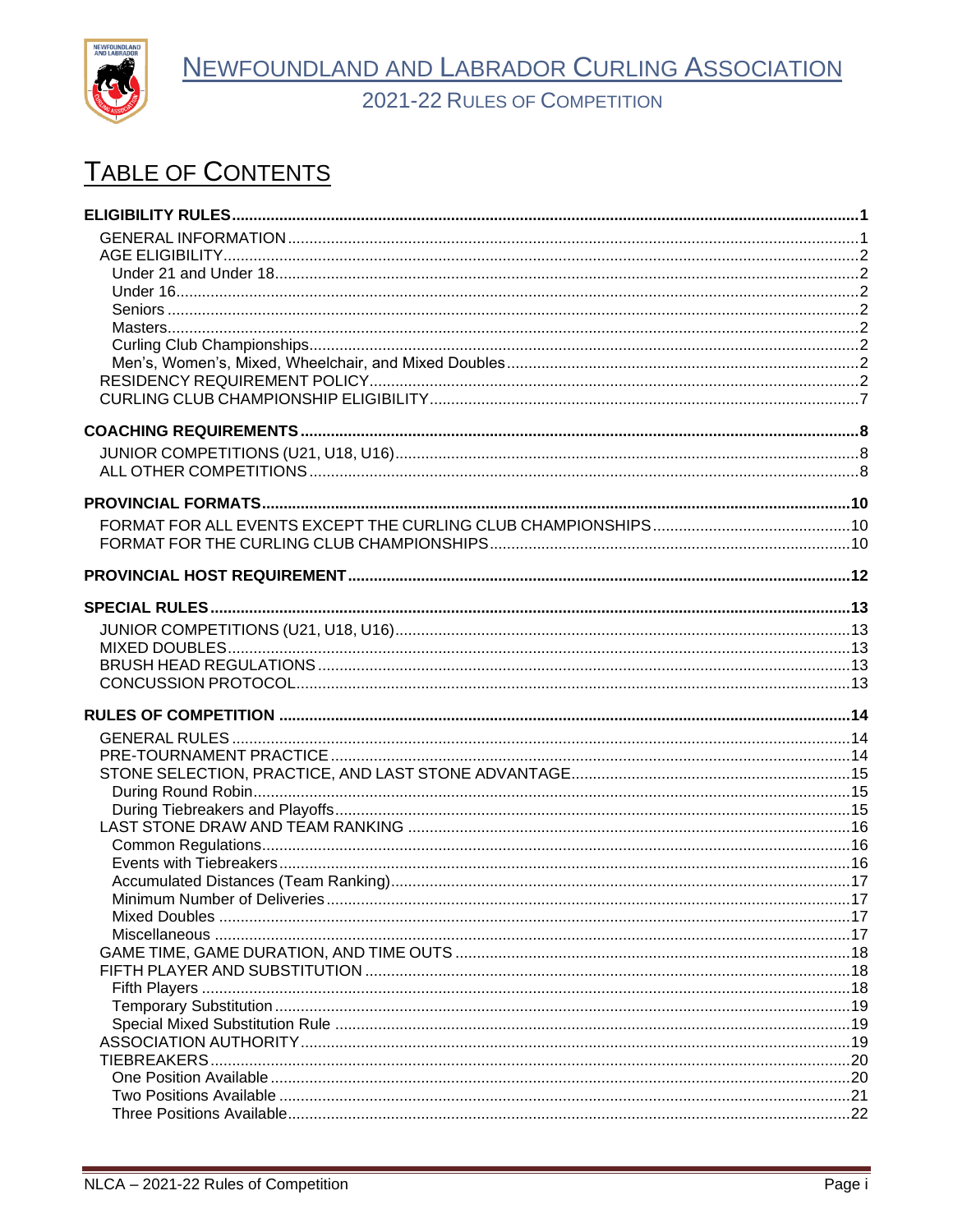

2021-22 RULES OF COMPETITION

# TABLE OF CONTENTS

| Minimum Number of Deliveries and the contract of the contract of the contract of the contract of the contract of the contract of the contract of the contract of the contract of the contract of the contract of the contract |  |
|-------------------------------------------------------------------------------------------------------------------------------------------------------------------------------------------------------------------------------|--|
|                                                                                                                                                                                                                               |  |
|                                                                                                                                                                                                                               |  |
|                                                                                                                                                                                                                               |  |
|                                                                                                                                                                                                                               |  |
|                                                                                                                                                                                                                               |  |
|                                                                                                                                                                                                                               |  |
|                                                                                                                                                                                                                               |  |
|                                                                                                                                                                                                                               |  |
|                                                                                                                                                                                                                               |  |
|                                                                                                                                                                                                                               |  |
|                                                                                                                                                                                                                               |  |
|                                                                                                                                                                                                                               |  |
|                                                                                                                                                                                                                               |  |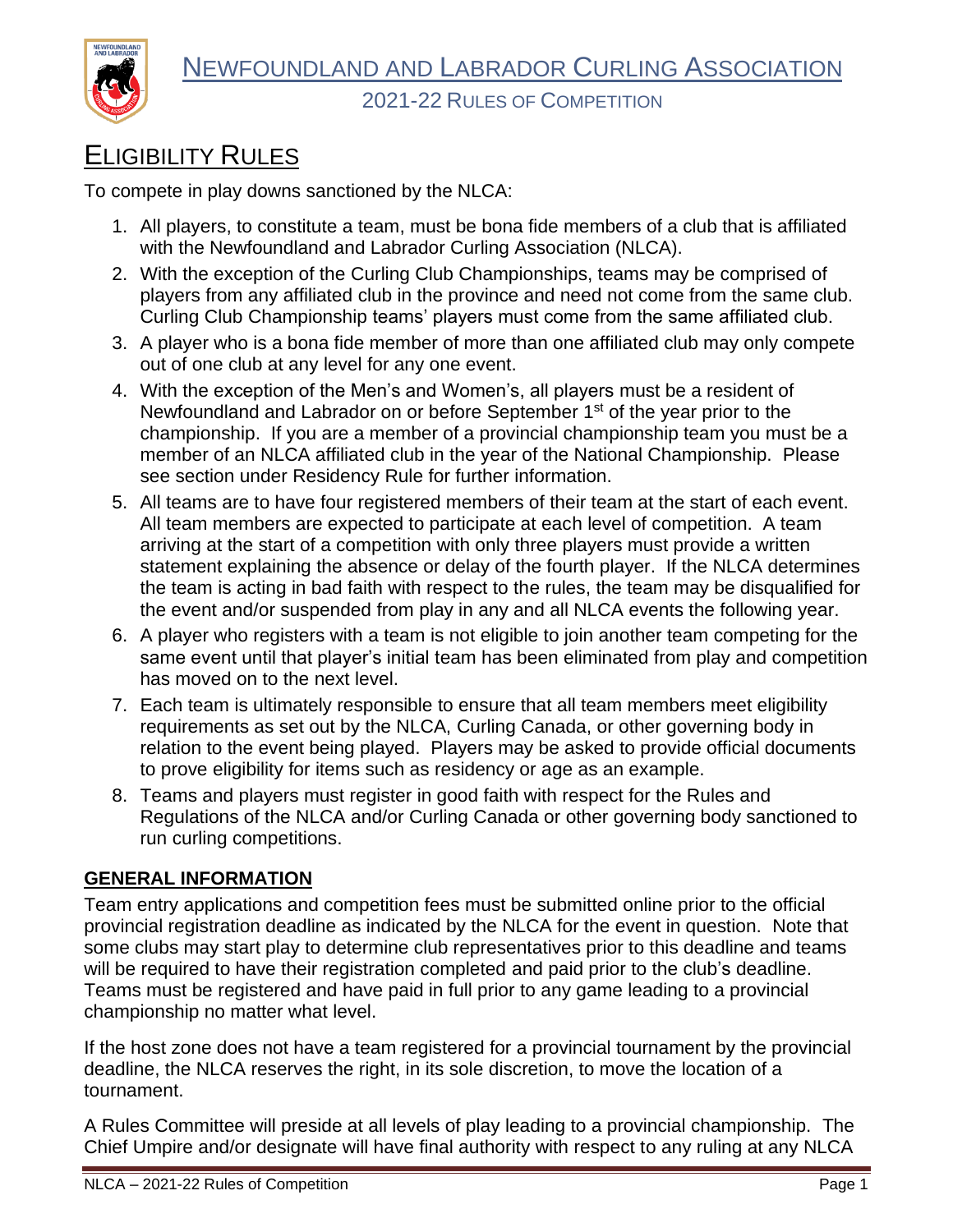

# <span id="page-2-0"></span>ELIGIBILITY RULES

To compete in play downs sanctioned by the NLCA:

- 1. All players, to constitute a team, must be bona fide members of a club that is affiliated with the Newfoundland and Labrador Curling Association (NLCA).
- 2. With the exception of the Curling Club Championships, teams may be comprised of players from any affiliated club in the province and need not come from the same club. Curling Club Championship teams' players must come from the same affiliated club.
- 3. A player who is a bona fide member of more than one affiliated club may only compete out of one club at any level for any one event.
- 4. With the exception of the Men's and Women's, all players must be a resident of Newfoundland and Labrador on or before September 1<sup>st</sup> of the year prior to the championship. If you are a member of a provincial championship team you must be a member of an NLCA affiliated club in the year of the National Championship. Please see section under Residency Rule for further information.
- 5. All teams are to have four registered members of their team at the start of each event. All team members are expected to participate at each level of competition. A team arriving at the start of a competition with only three players must provide a written statement explaining the absence or delay of the fourth player. If the NLCA determines the team is acting in bad faith with respect to the rules, the team may be disqualified for the event and/or suspended from play in any and all NLCA events the following year.
- 6. A player who registers with a team is not eligible to join another team competing for the same event until that player's initial team has been eliminated from play and competition has moved on to the next level.
- 7. Each team is ultimately responsible to ensure that all team members meet eligibility requirements as set out by the NLCA, Curling Canada, or other governing body in relation to the event being played. Players may be asked to provide official documents to prove eligibility for items such as residency or age as an example.
- 8. Teams and players must register in good faith with respect for the Rules and Regulations of the NLCA and/or Curling Canada or other governing body sanctioned to run curling competitions.

#### <span id="page-2-1"></span>**GENERAL INFORMATION**

Team entry applications and competition fees must be submitted online prior to the official provincial registration deadline as indicated by the NLCA for the event in question. Note that some clubs may start play to determine club representatives prior to this deadline and teams will be required to have their registration completed and paid prior to the club's deadline. Teams must be registered and have paid in full prior to any game leading to a provincial championship no matter what level.

If the host zone does not have a team registered for a provincial tournament by the provincial deadline, the NLCA reserves the right, in its sole discretion, to move the location of a tournament.

A Rules Committee will preside at all levels of play leading to a provincial championship. The Chief Umpire and/or designate will have final authority with respect to any ruling at any NLCA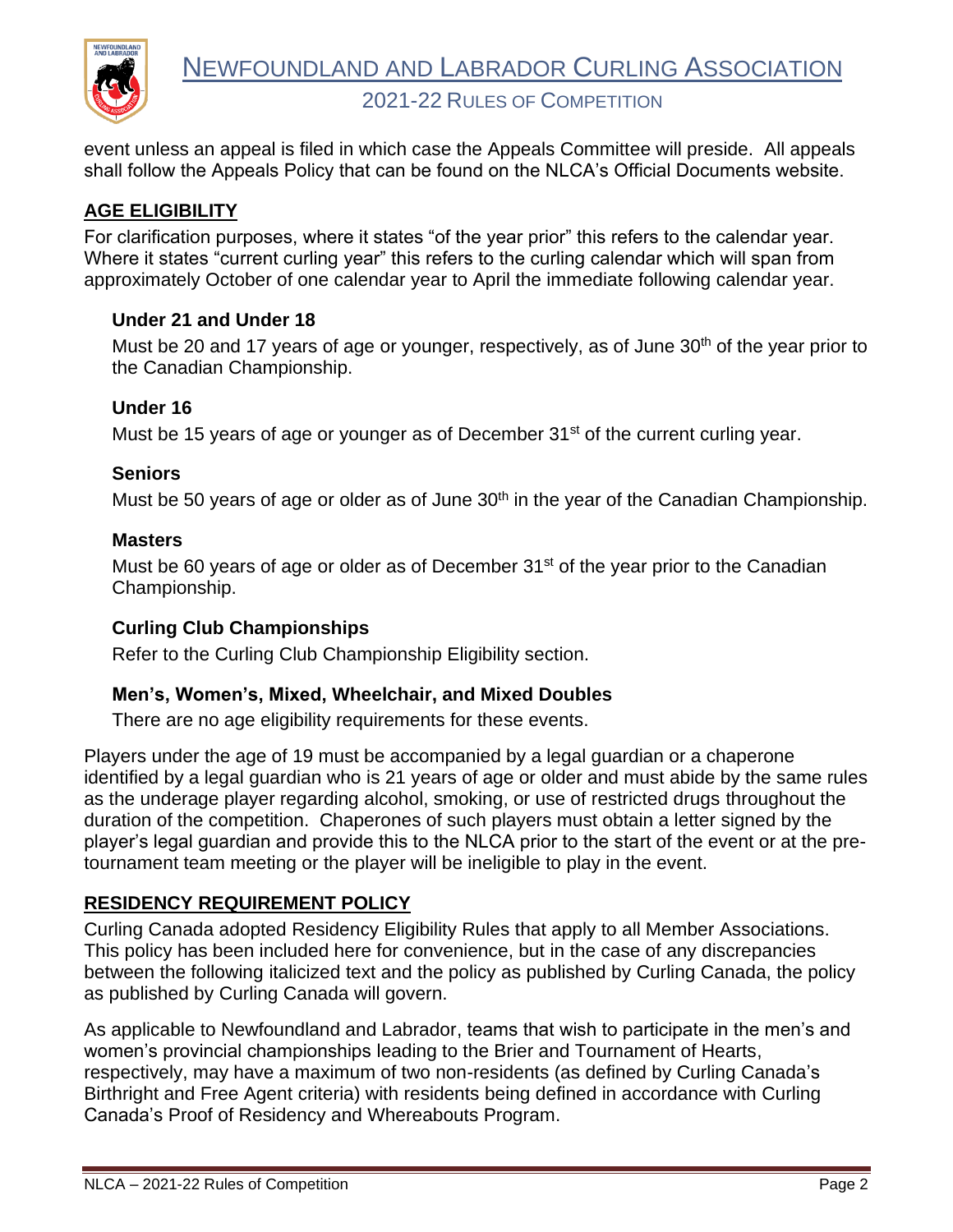

event unless an appeal is filed in which case the Appeals Committee will preside. All appeals shall follow the Appeals Policy that can be found on the NLCA's Official Documents website.

## <span id="page-3-0"></span>**AGE ELIGIBILITY**

For clarification purposes, where it states "of the year prior" this refers to the calendar year. Where it states "current curling year" this refers to the curling calendar which will span from approximately October of one calendar year to April the immediate following calendar year.

#### <span id="page-3-1"></span>**Under 21 and Under 18**

Must be 20 and 17 years of age or younger, respectively, as of June 30<sup>th</sup> of the year prior to the Canadian Championship.

#### <span id="page-3-2"></span>**Under 16**

Must be 15 years of age or younger as of December 31<sup>st</sup> of the current curling year.

#### <span id="page-3-3"></span>**Seniors**

Must be 50 years of age or older as of June 30<sup>th</sup> in the year of the Canadian Championship.

#### <span id="page-3-4"></span>**Masters**

Must be 60 years of age or older as of December  $31<sup>st</sup>$  of the year prior to the Canadian Championship.

#### <span id="page-3-5"></span>**Curling Club Championships**

Refer to the Curling Club Championship Eligibility section.

#### <span id="page-3-6"></span>**Men's, Women's, Mixed, Wheelchair, and Mixed Doubles**

There are no age eligibility requirements for these events.

Players under the age of 19 must be accompanied by a legal guardian or a chaperone identified by a legal guardian who is 21 years of age or older and must abide by the same rules as the underage player regarding alcohol, smoking, or use of restricted drugs throughout the duration of the competition. Chaperones of such players must obtain a letter signed by the player's legal guardian and provide this to the NLCA prior to the start of the event or at the pretournament team meeting or the player will be ineligible to play in the event.

#### <span id="page-3-7"></span>**RESIDENCY REQUIREMENT POLICY**

Curling Canada adopted Residency Eligibility Rules that apply to all Member Associations. This policy has been included here for convenience, but in the case of any discrepancies between the following italicized text and the policy as published by Curling Canada, the policy as published by Curling Canada will govern.

As applicable to Newfoundland and Labrador, teams that wish to participate in the men's and women's provincial championships leading to the Brier and Tournament of Hearts, respectively, may have a maximum of two non-residents (as defined by Curling Canada's Birthright and Free Agent criteria) with residents being defined in accordance with Curling Canada's Proof of Residency and Whereabouts Program.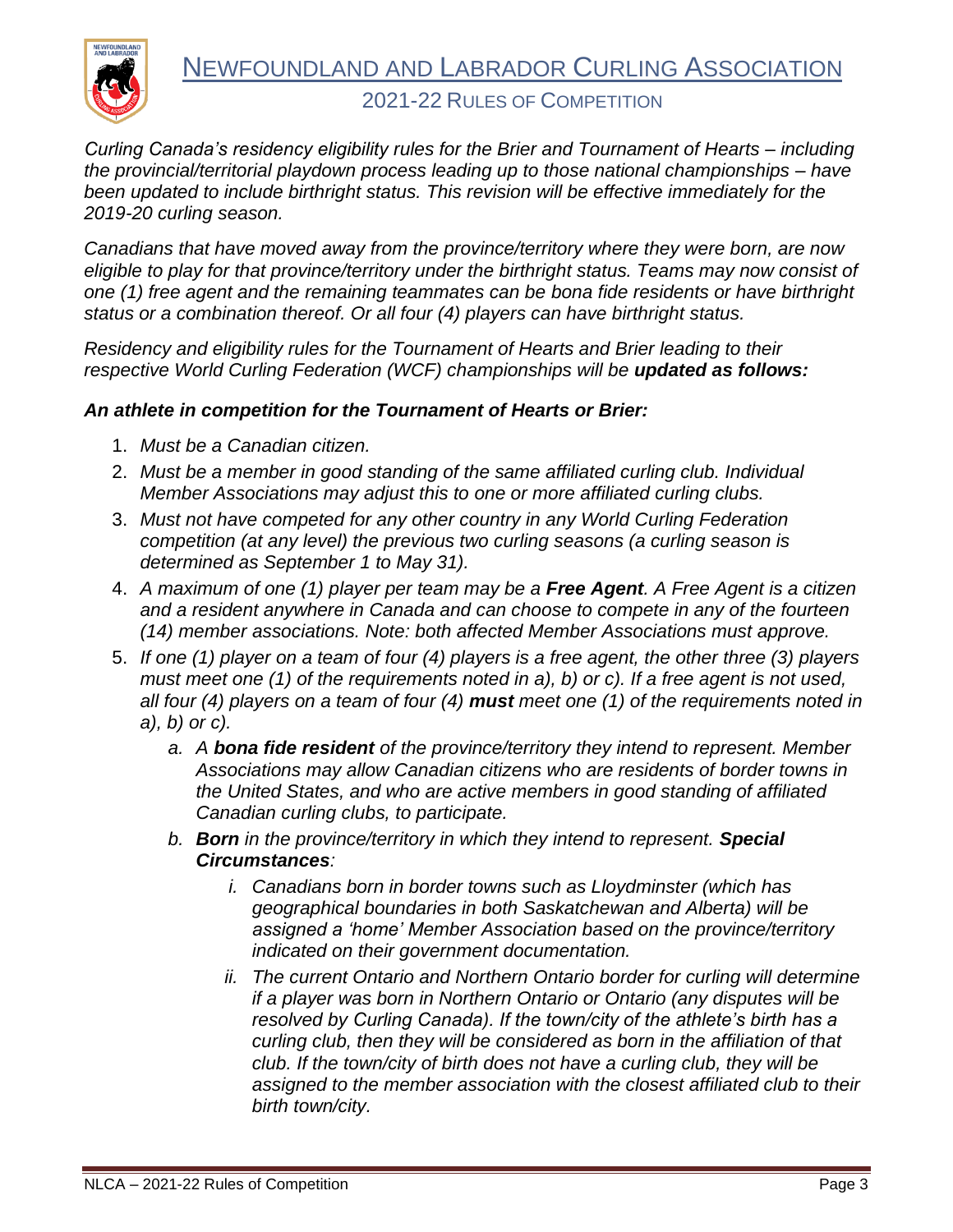

*Curling Canada's residency eligibility rules for the Brier and Tournament of Hearts – including the provincial/territorial playdown process leading up to those national championships – have been updated to include birthright status. This revision will be effective immediately for the 2019-20 curling season.*

*Canadians that have moved away from the province/territory where they were born, are now eligible to play for that province/territory under the birthright status. Teams may now consist of one (1) free agent and the remaining teammates can be bona fide residents or have birthright status or a combination thereof. Or all four (4) players can have birthright status.*

*Residency and eligibility rules for the Tournament of Hearts and Brier leading to their respective World Curling Federation (WCF) championships will be updated as follows:* 

#### *An athlete in competition for the Tournament of Hearts or Brier:*

- 1. *Must be a Canadian citizen.*
- 2. *Must be a member in good standing of the same affiliated curling club. Individual Member Associations may adjust this to one or more affiliated curling clubs.*
- 3. *Must not have competed for any other country in any World Curling Federation competition (at any level) the previous two curling seasons (a curling season is determined as September 1 to May 31).*
- 4. *A maximum of one (1) player per team may be a Free Agent. A Free Agent is a citizen and a resident anywhere in Canada and can choose to compete in any of the fourteen (14) member associations. Note: both affected Member Associations must approve.*
- 5. *If one (1) player on a team of four (4) players is a free agent, the other three (3) players must meet one (1) of the requirements noted in a), b) or c). If a free agent is not used, all four (4) players on a team of four (4) must meet one (1) of the requirements noted in a), b) or c).*
	- *a. A bona fide resident of the province/territory they intend to represent. Member Associations may allow Canadian citizens who are residents of border towns in the United States, and who are active members in good standing of affiliated Canadian curling clubs, to participate.*
	- *b. Born in the province/territory in which they intend to represent. Special Circumstances:*
		- *i. Canadians born in border towns such as Lloydminster (which has geographical boundaries in both Saskatchewan and Alberta) will be assigned a 'home' Member Association based on the province/territory indicated on their government documentation.*
		- *ii. The current Ontario and Northern Ontario border for curling will determine if a player was born in Northern Ontario or Ontario (any disputes will be resolved by Curling Canada). If the town/city of the athlete's birth has a curling club, then they will be considered as born in the affiliation of that club. If the town/city of birth does not have a curling club, they will be assigned to the member association with the closest affiliated club to their birth town/city.*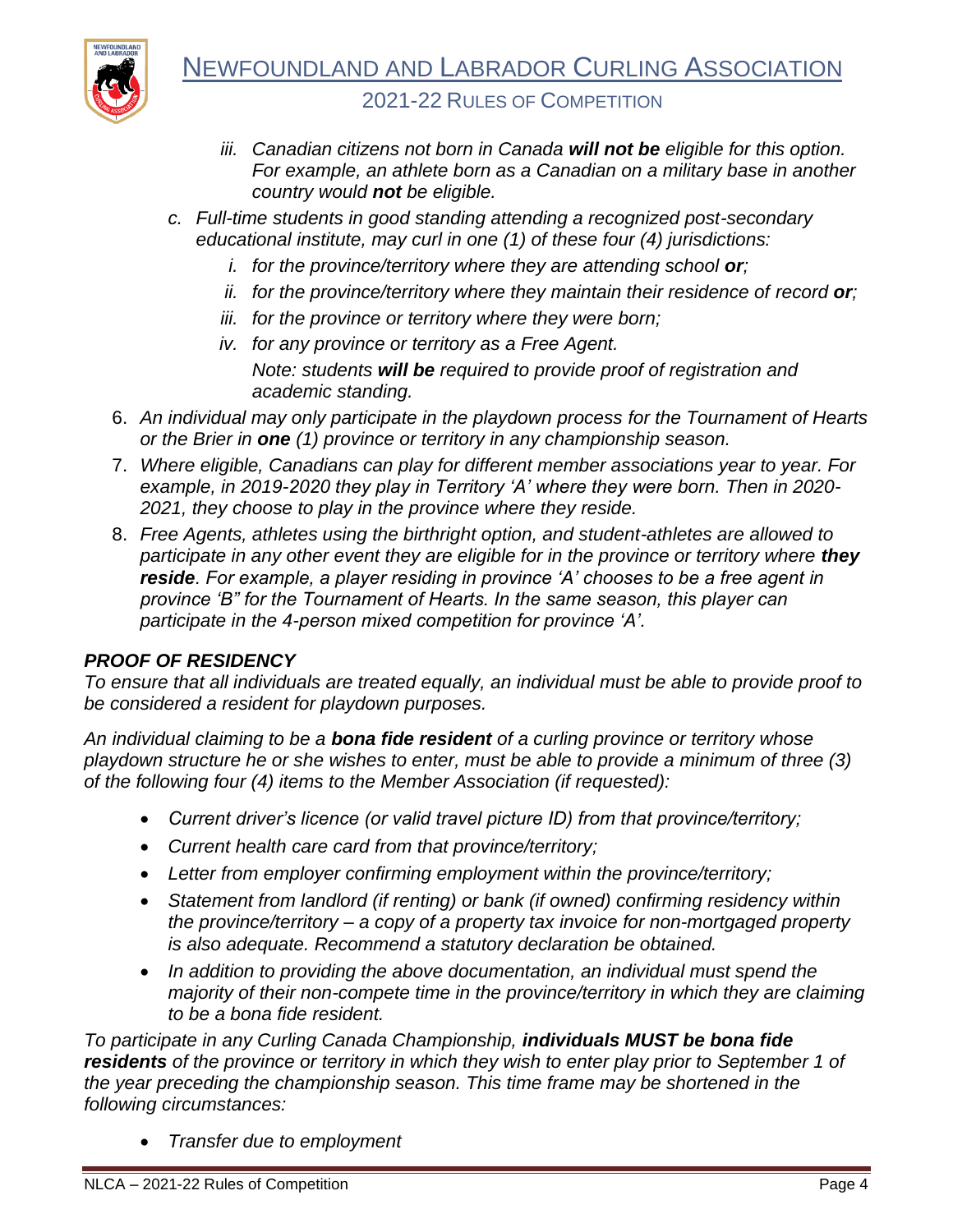

- *iii. Canadian citizens not born in Canada will not be eligible for this option. For example, an athlete born as a Canadian on a military base in another country would not be eligible.*
- *c. Full-time students in good standing attending a recognized post-secondary educational institute, may curl in one (1) of these four (4) jurisdictions:*
	- *i. for the province/territory where they are attending school or;*
	- *ii. for the province/territory where they maintain their residence of record or;*
	- *iii. for the province or territory where they were born;*
	- *iv. for any province or territory as a Free Agent. Note: students will be required to provide proof of registration and academic standing.*
- 6. *An individual may only participate in the playdown process for the Tournament of Hearts or the Brier in one (1) province or territory in any championship season.*
- 7. *Where eligible, Canadians can play for different member associations year to year. For example, in 2019-2020 they play in Territory 'A' where they were born. Then in 2020- 2021, they choose to play in the province where they reside.*
- 8. *Free Agents, athletes using the birthright option, and student-athletes are allowed to participate in any other event they are eligible for in the province or territory where they reside. For example, a player residing in province 'A' chooses to be a free agent in province 'B" for the Tournament of Hearts. In the same season, this player can participate in the 4-person mixed competition for province 'A'.*

#### *PROOF OF RESIDENCY*

*To ensure that all individuals are treated equally, an individual must be able to provide proof to be considered a resident for playdown purposes.*

*An individual claiming to be a bona fide resident of a curling province or territory whose playdown structure he or she wishes to enter, must be able to provide a minimum of three (3) of the following four (4) items to the Member Association (if requested):*

- *Current driver's licence (or valid travel picture ID) from that province/territory;*
- *Current health care card from that province/territory;*
- *Letter from employer confirming employment within the province/territory;*
- *Statement from landlord (if renting) or bank (if owned) confirming residency within the province/territory – a copy of a property tax invoice for non-mortgaged property is also adequate. Recommend a statutory declaration be obtained.*
- *In addition to providing the above documentation, an individual must spend the majority of their non-compete time in the province/territory in which they are claiming to be a bona fide resident.*

*To participate in any Curling Canada Championship, individuals MUST be bona fide residents of the province or territory in which they wish to enter play prior to September 1 of the year preceding the championship season. This time frame may be shortened in the following circumstances:*

• *Transfer due to employment*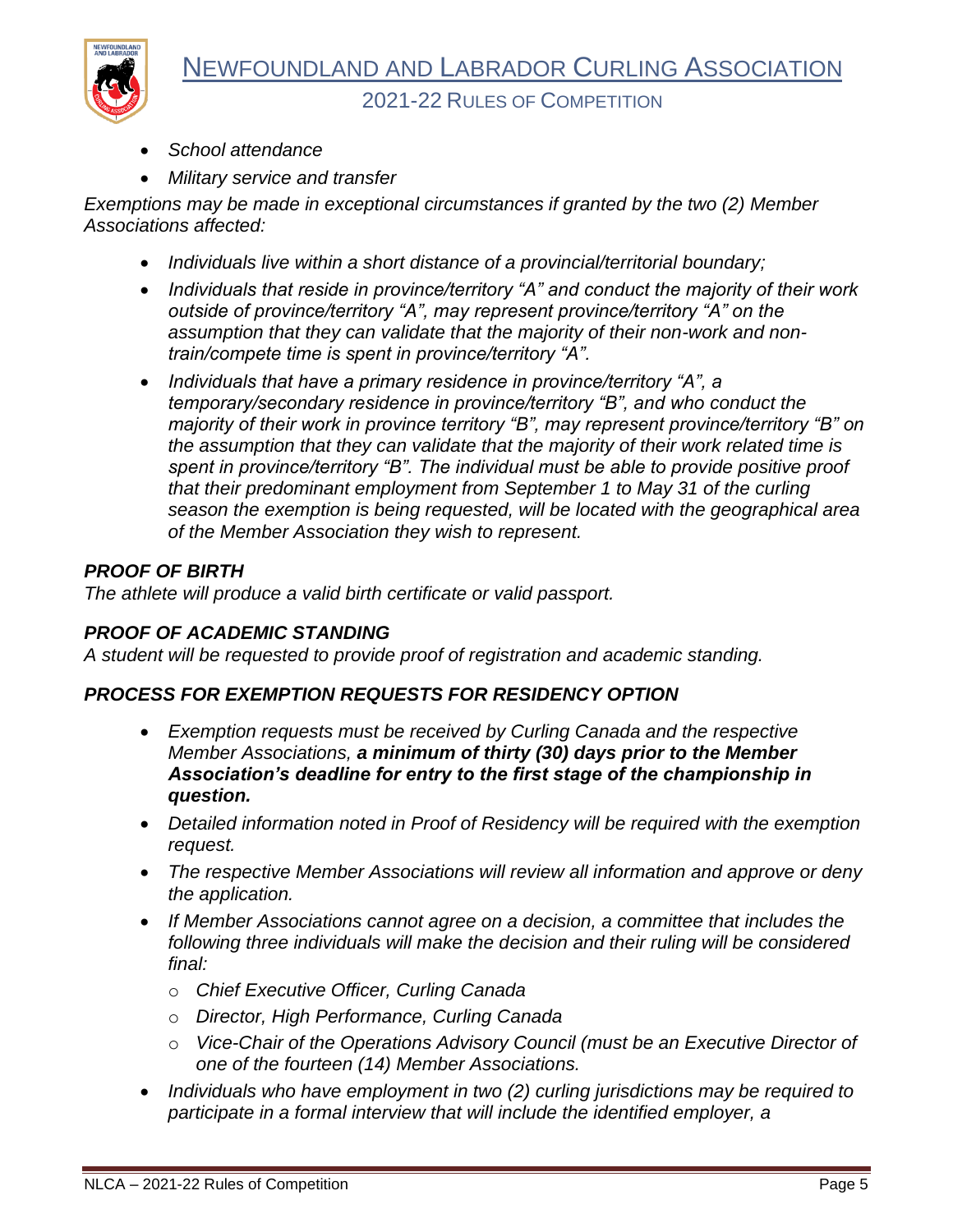

• *School attendance*

**NEWFOUNDLAN** 

• *Military service and transfer*

*Exemptions may be made in exceptional circumstances if granted by the two (2) Member Associations affected:*

- *Individuals live within a short distance of a provincial/territorial boundary;*
- *Individuals that reside in province/territory "A" and conduct the majority of their work outside of province/territory "A", may represent province/territory "A" on the assumption that they can validate that the majority of their non-work and nontrain/compete time is spent in province/territory "A".*
- *Individuals that have a primary residence in province/territory "A", a temporary/secondary residence in province/territory "B", and who conduct the majority of their work in province territory "B", may represent province/territory "B" on the assumption that they can validate that the majority of their work related time is spent in province/territory "B". The individual must be able to provide positive proof that their predominant employment from September 1 to May 31 of the curling season the exemption is being requested, will be located with the geographical area of the Member Association they wish to represent.*

#### *PROOF OF BIRTH*

*The athlete will produce a valid birth certificate or valid passport.*

#### *PROOF OF ACADEMIC STANDING*

*A student will be requested to provide proof of registration and academic standing.*

#### *PROCESS FOR EXEMPTION REQUESTS FOR RESIDENCY OPTION*

- *Exemption requests must be received by Curling Canada and the respective Member Associations, a minimum of thirty (30) days prior to the Member Association's deadline for entry to the first stage of the championship in question.*
- *Detailed information noted in Proof of Residency will be required with the exemption request.*
- *The respective Member Associations will review all information and approve or deny the application.*
- *If Member Associations cannot agree on a decision, a committee that includes the following three individuals will make the decision and their ruling will be considered final:*
	- o *Chief Executive Officer, Curling Canada*
	- o *Director, High Performance, Curling Canada*
	- o *Vice-Chair of the Operations Advisory Council (must be an Executive Director of one of the fourteen (14) Member Associations.*
- *Individuals who have employment in two (2) curling jurisdictions may be required to participate in a formal interview that will include the identified employer, a*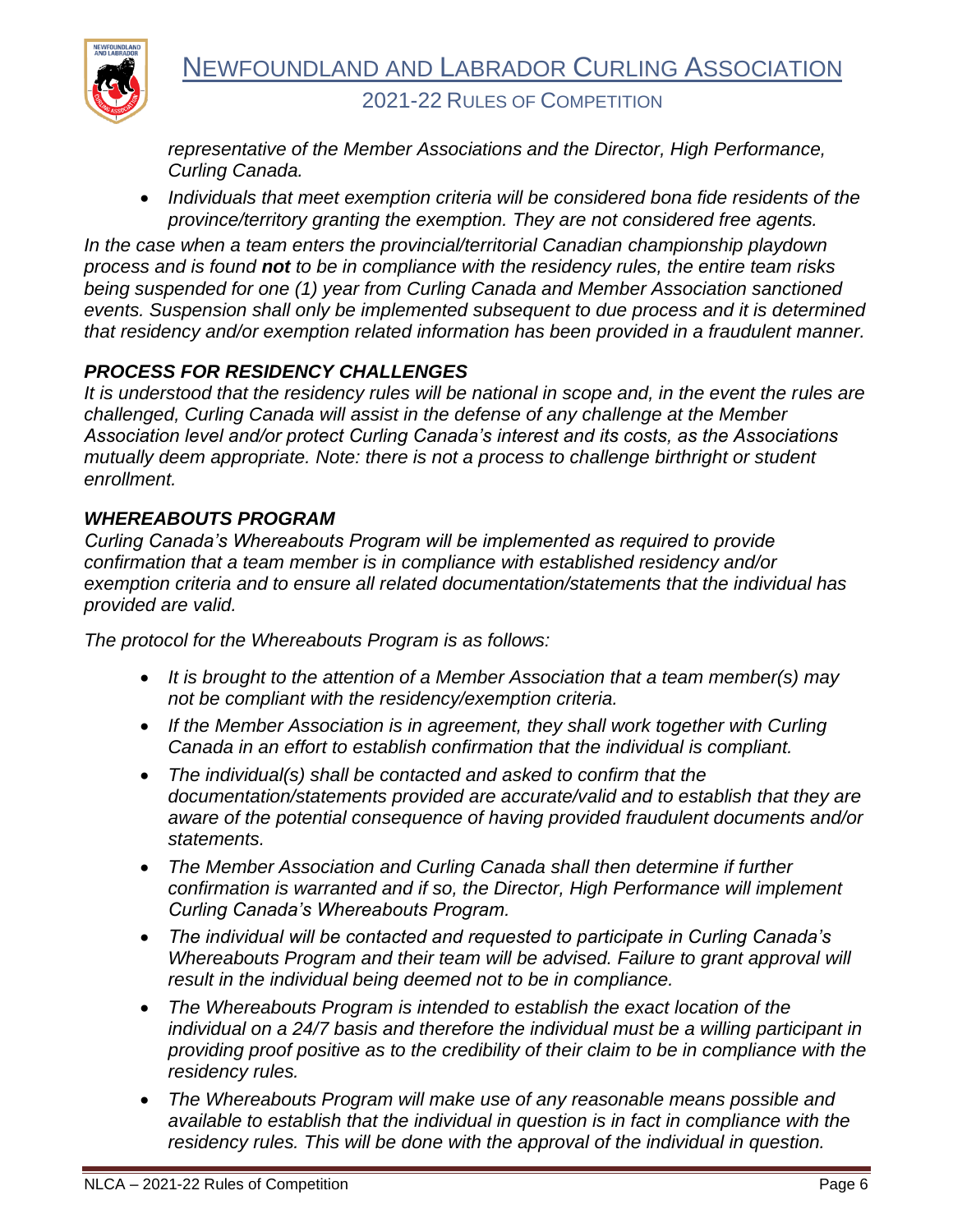

*representative of the Member Associations and the Director, High Performance, Curling Canada.*

• *Individuals that meet exemption criteria will be considered bona fide residents of the province/territory granting the exemption. They are not considered free agents.*

*In the case when a team enters the provincial/territorial Canadian championship playdown process and is found not to be in compliance with the residency rules, the entire team risks being suspended for one (1) year from Curling Canada and Member Association sanctioned events. Suspension shall only be implemented subsequent to due process and it is determined that residency and/or exemption related information has been provided in a fraudulent manner.*

## *PROCESS FOR RESIDENCY CHALLENGES*

*It is understood that the residency rules will be national in scope and, in the event the rules are challenged, Curling Canada will assist in the defense of any challenge at the Member Association level and/or protect Curling Canada's interest and its costs, as the Associations mutually deem appropriate. Note: there is not a process to challenge birthright or student enrollment.*

#### *WHEREABOUTS PROGRAM*

*Curling Canada's Whereabouts Program will be implemented as required to provide confirmation that a team member is in compliance with established residency and/or exemption criteria and to ensure all related documentation/statements that the individual has provided are valid.*

*The protocol for the Whereabouts Program is as follows:*

- *It is brought to the attention of a Member Association that a team member(s) may not be compliant with the residency/exemption criteria.*
- *If the Member Association is in agreement, they shall work together with Curling Canada in an effort to establish confirmation that the individual is compliant.*
- *The individual(s) shall be contacted and asked to confirm that the documentation/statements provided are accurate/valid and to establish that they are aware of the potential consequence of having provided fraudulent documents and/or statements.*
- *The Member Association and Curling Canada shall then determine if further confirmation is warranted and if so, the Director, High Performance will implement Curling Canada's Whereabouts Program.*
- *The individual will be contacted and requested to participate in Curling Canada's Whereabouts Program and their team will be advised. Failure to grant approval will result in the individual being deemed not to be in compliance.*
- *The Whereabouts Program is intended to establish the exact location of the individual on a 24/7 basis and therefore the individual must be a willing participant in providing proof positive as to the credibility of their claim to be in compliance with the residency rules.*
- *The Whereabouts Program will make use of any reasonable means possible and available to establish that the individual in question is in fact in compliance with the residency rules. This will be done with the approval of the individual in question.*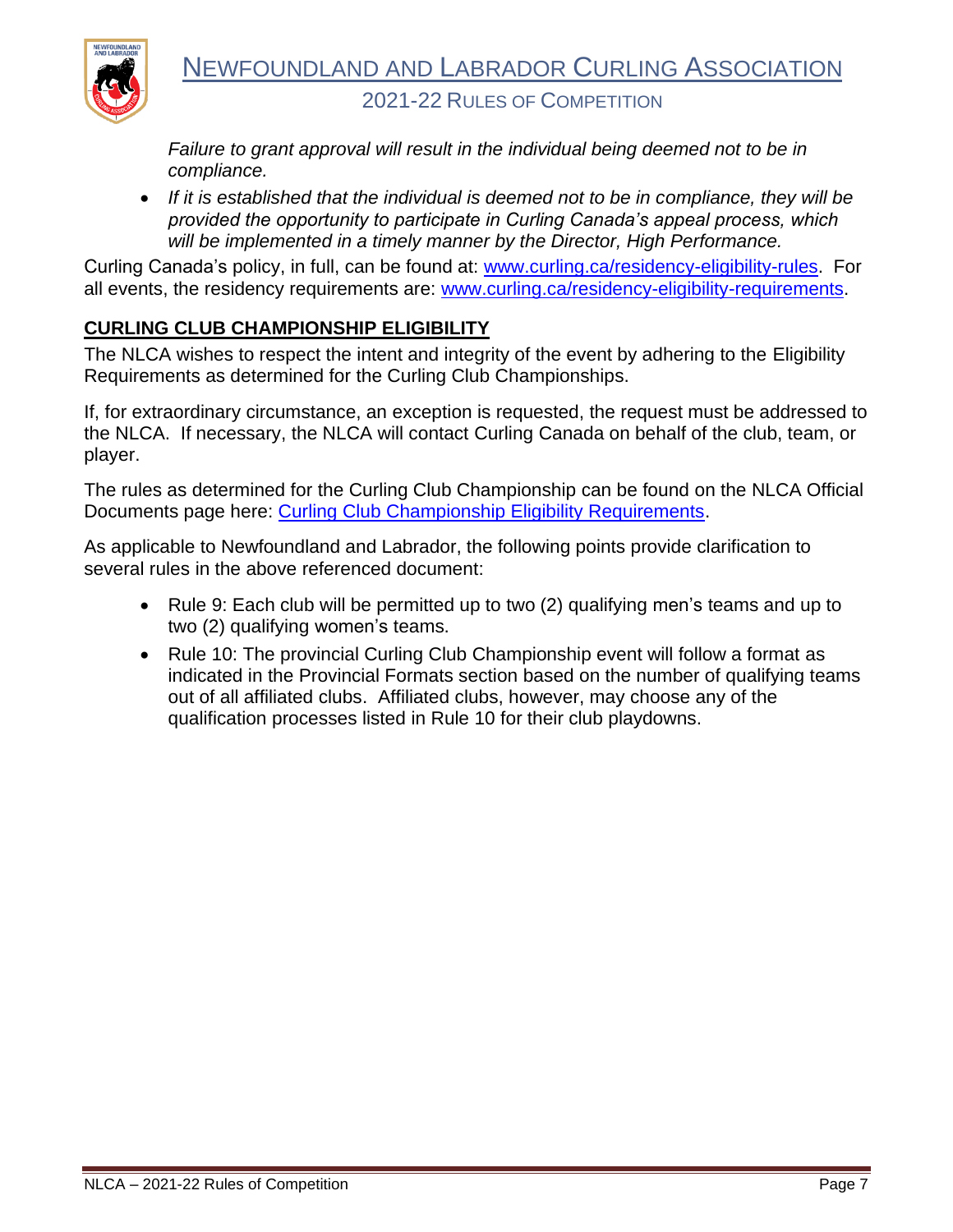

*Failure to grant approval will result in the individual being deemed not to be in compliance.*

• *If it is established that the individual is deemed not to be in compliance, they will be provided the opportunity to participate in Curling Canada's appeal process, which will be implemented in a timely manner by the Director, High Performance.*

Curling Canada's policy, in full, can be found at: [www.curling.ca/residency-eligibility-rules.](http://www.curling.ca/residency-eligibility-rules) For all events, the residency requirements are: [www.curling.ca/residency-eligibility-requirements.](http://www.curling.ca/residency-eligibility-requirements)

## <span id="page-8-0"></span>**CURLING CLUB CHAMPIONSHIP ELIGIBILITY**

The NLCA wishes to respect the intent and integrity of the event by adhering to the Eligibility Requirements as determined for the Curling Club Championships.

If, for extraordinary circumstance, an exception is requested, the request must be addressed to the NLCA. If necessary, the NLCA will contact Curling Canada on behalf of the club, team, or player.

The rules as determined for the Curling Club Championship can be found on the NLCA Official Documents page here: [Curling Club Championship Eligibility Requirements.](http://curlingnl.ca/wp-content/uploads/2020/08/curlingclubchampionships2020eligibility-ENFINAL-NL.pdf)

As applicable to Newfoundland and Labrador, the following points provide clarification to several rules in the above referenced document:

- Rule 9: Each club will be permitted up to two (2) qualifying men's teams and up to two (2) qualifying women's teams.
- Rule 10: The provincial Curling Club Championship event will follow a format as indicated in the Provincial Formats section based on the number of qualifying teams out of all affiliated clubs. Affiliated clubs, however, may choose any of the qualification processes listed in Rule 10 for their club playdowns.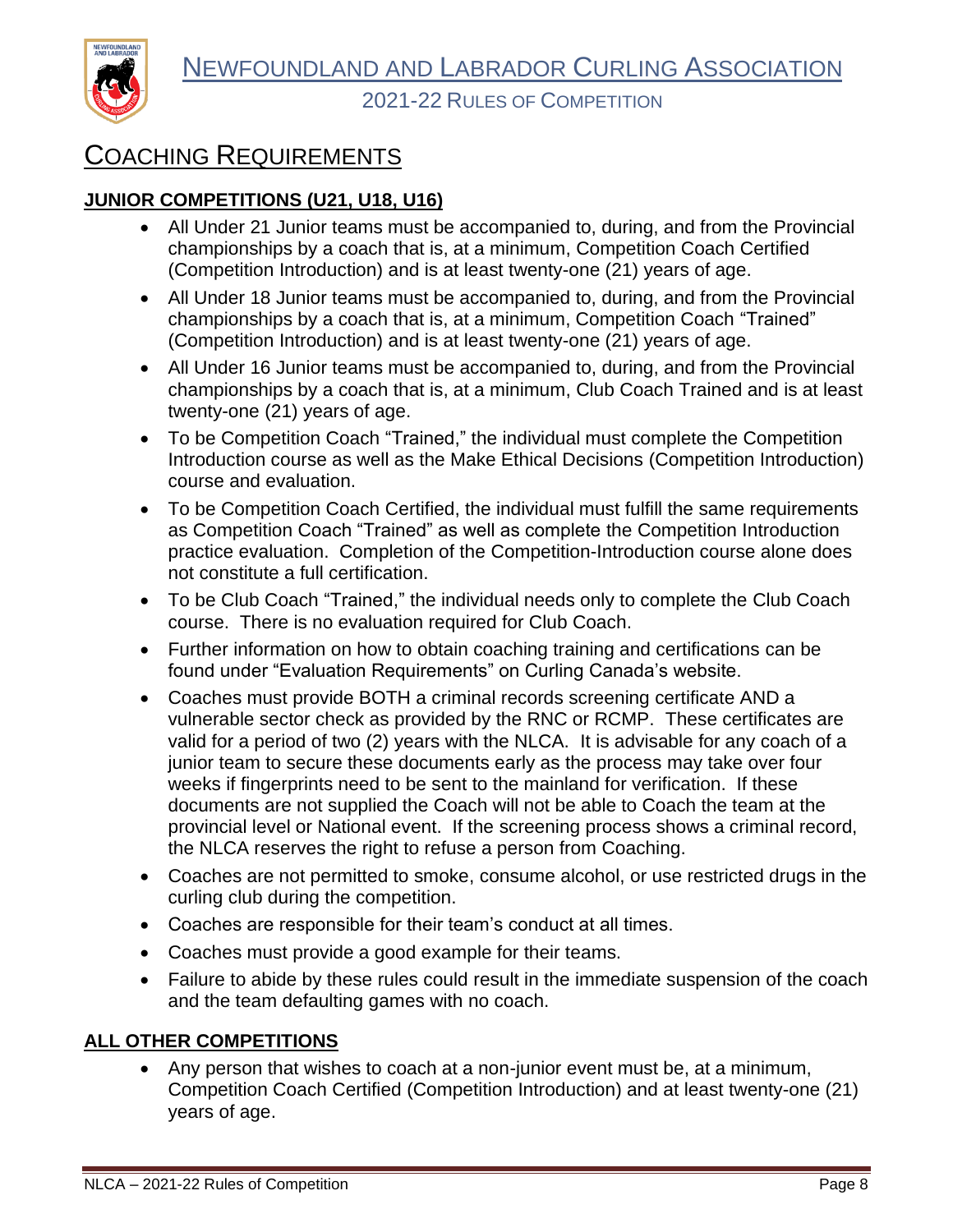

# <span id="page-9-0"></span>COACHING REQUIREMENTS

### <span id="page-9-1"></span>**JUNIOR COMPETITIONS (U21, U18, U16)**

- All Under 21 Junior teams must be accompanied to, during, and from the Provincial championships by a coach that is, at a minimum, Competition Coach Certified (Competition Introduction) and is at least twenty-one (21) years of age.
- All Under 18 Junior teams must be accompanied to, during, and from the Provincial championships by a coach that is, at a minimum, Competition Coach "Trained" (Competition Introduction) and is at least twenty-one (21) years of age.
- All Under 16 Junior teams must be accompanied to, during, and from the Provincial championships by a coach that is, at a minimum, Club Coach Trained and is at least twenty-one (21) years of age.
- To be Competition Coach "Trained," the individual must complete the Competition Introduction course as well as the Make Ethical Decisions (Competition Introduction) course and evaluation.
- To be Competition Coach Certified, the individual must fulfill the same requirements as Competition Coach "Trained" as well as complete the Competition Introduction practice evaluation. Completion of the Competition-Introduction course alone does not constitute a full certification.
- To be Club Coach "Trained," the individual needs only to complete the Club Coach course. There is no evaluation required for Club Coach.
- Further information on how to obtain coaching training and certifications can be found under "Evaluation Requirements" on Curling Canada's website.
- Coaches must provide BOTH a criminal records screening certificate AND a vulnerable sector check as provided by the RNC or RCMP. These certificates are valid for a period of two (2) years with the NLCA. It is advisable for any coach of a junior team to secure these documents early as the process may take over four weeks if fingerprints need to be sent to the mainland for verification. If these documents are not supplied the Coach will not be able to Coach the team at the provincial level or National event. If the screening process shows a criminal record, the NLCA reserves the right to refuse a person from Coaching.
- Coaches are not permitted to smoke, consume alcohol, or use restricted drugs in the curling club during the competition.
- Coaches are responsible for their team's conduct at all times.
- Coaches must provide a good example for their teams.
- Failure to abide by these rules could result in the immediate suspension of the coach and the team defaulting games with no coach.

#### <span id="page-9-2"></span>**ALL OTHER COMPETITIONS**

• Any person that wishes to coach at a non-junior event must be, at a minimum, Competition Coach Certified (Competition Introduction) and at least twenty-one (21) years of age.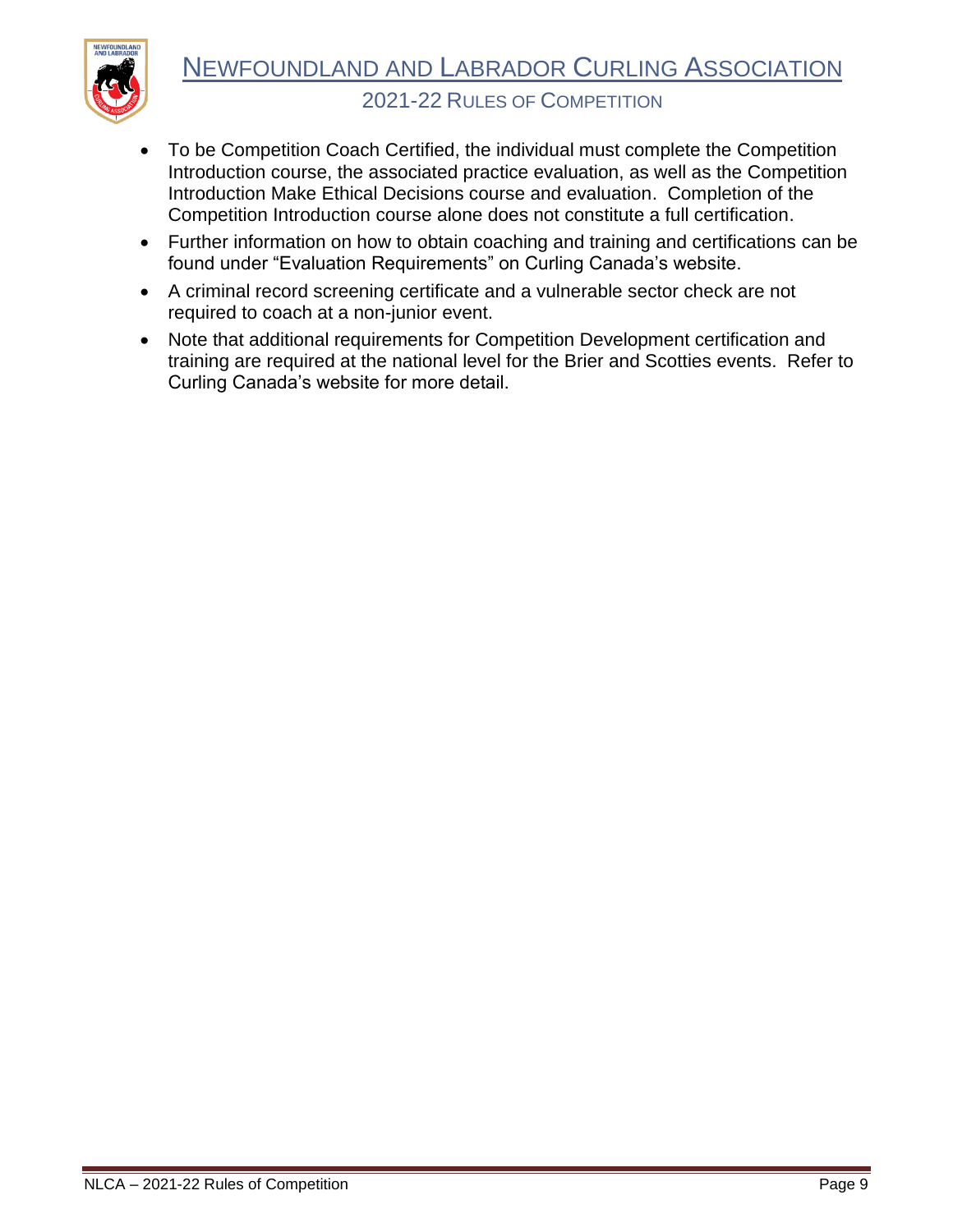

- To be Competition Coach Certified, the individual must complete the Competition Introduction course, the associated practice evaluation, as well as the Competition Introduction Make Ethical Decisions course and evaluation. Completion of the Competition Introduction course alone does not constitute a full certification.
- Further information on how to obtain coaching and training and certifications can be found under "Evaluation Requirements" on Curling Canada's website.
- A criminal record screening certificate and a vulnerable sector check are not required to coach at a non-junior event.
- Note that additional requirements for Competition Development certification and training are required at the national level for the Brier and Scotties events. Refer to Curling Canada's website for more detail.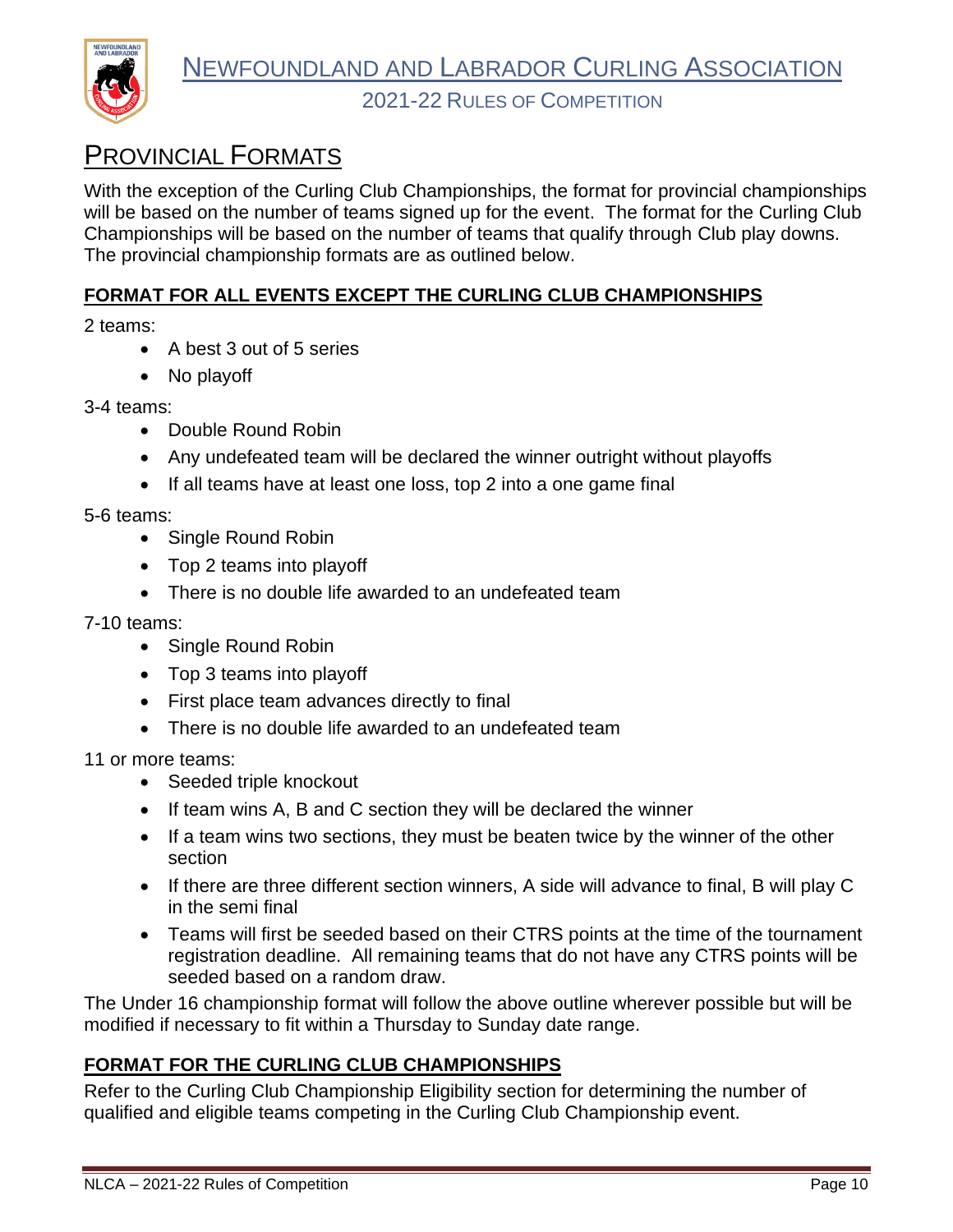

# <span id="page-11-0"></span>PROVINCIAL FORMATS

With the exception of the Curling Club Championships, the format for provincial championships will be based on the number of teams signed up for the event. The format for the Curling Club Championships will be based on the number of teams that qualify through Club play downs. The provincial championship formats are as outlined below.

### <span id="page-11-1"></span>**FORMAT FOR ALL EVENTS EXCEPT THE CURLING CLUB CHAMPIONSHIPS**

2 teams:

- A best 3 out of 5 series
- No playoff

3-4 teams:

- Double Round Robin
- Any undefeated team will be declared the winner outright without playoffs
- If all teams have at least one loss, top 2 into a one game final

5-6 teams:

- Single Round Robin
- Top 2 teams into playoff
- There is no double life awarded to an undefeated team

7-10 teams:

- Single Round Robin
- Top 3 teams into playoff
- First place team advances directly to final
- There is no double life awarded to an undefeated team

11 or more teams:

- Seeded triple knockout
- If team wins A, B and C section they will be declared the winner
- If a team wins two sections, they must be beaten twice by the winner of the other section
- If there are three different section winners, A side will advance to final, B will play C in the semi final
- Teams will first be seeded based on their CTRS points at the time of the tournament registration deadline. All remaining teams that do not have any CTRS points will be seeded based on a random draw.

The Under 16 championship format will follow the above outline wherever possible but will be modified if necessary to fit within a Thursday to Sunday date range.

#### <span id="page-11-2"></span>**FORMAT FOR THE CURLING CLUB CHAMPIONSHIPS**

Refer to the Curling Club Championship Eligibility section for determining the number of qualified and eligible teams competing in the Curling Club Championship event.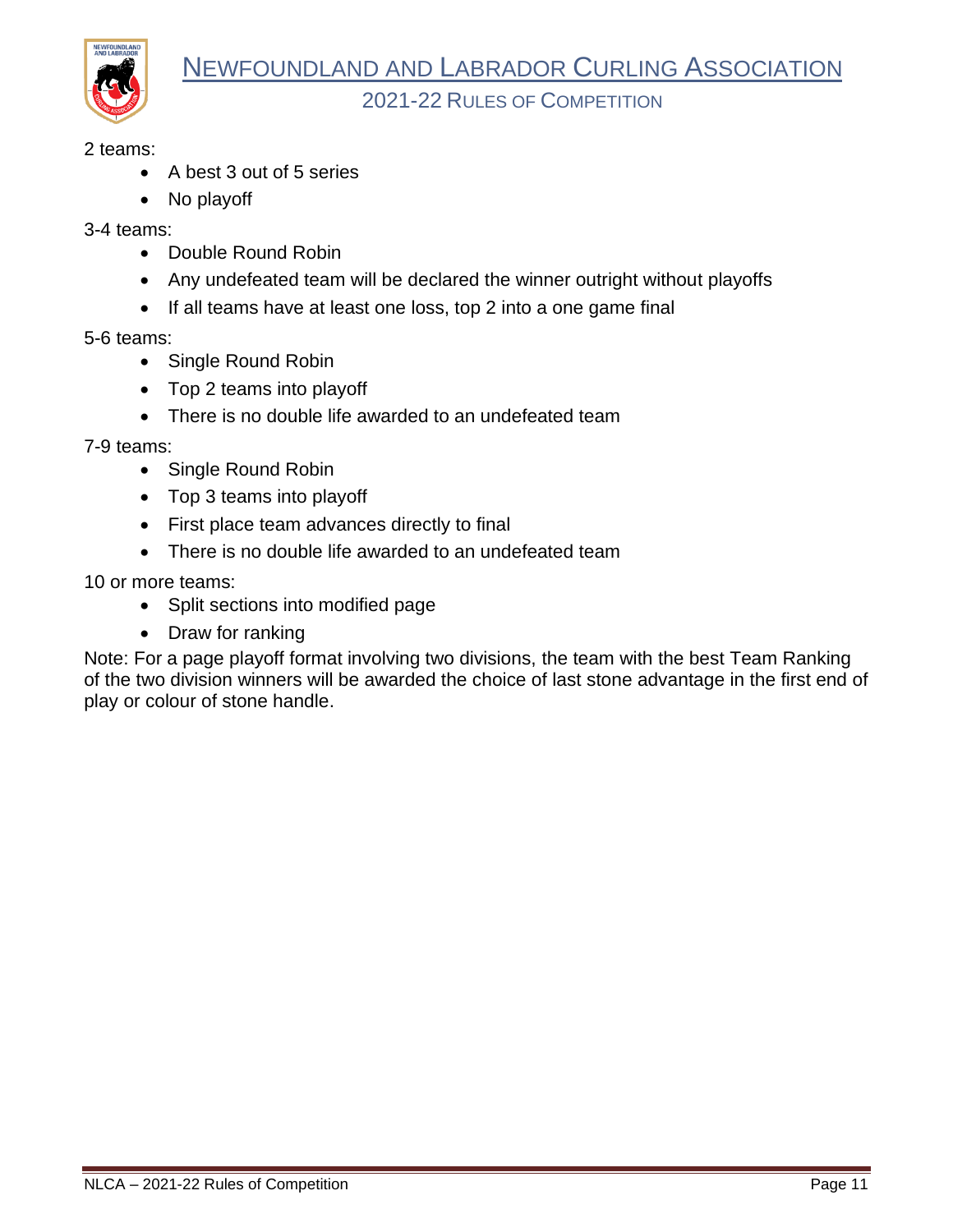

2 teams:

- A best 3 out of 5 series
- No playoff

3-4 teams:

- Double Round Robin
- Any undefeated team will be declared the winner outright without playoffs
- If all teams have at least one loss, top 2 into a one game final

5-6 teams:

- Single Round Robin
- Top 2 teams into playoff
- There is no double life awarded to an undefeated team

7-9 teams:

- Single Round Robin
- Top 3 teams into playoff
- First place team advances directly to final
- There is no double life awarded to an undefeated team

10 or more teams:

- Split sections into modified page
- Draw for ranking

Note: For a page playoff format involving two divisions, the team with the best Team Ranking of the two division winners will be awarded the choice of last stone advantage in the first end of play or colour of stone handle.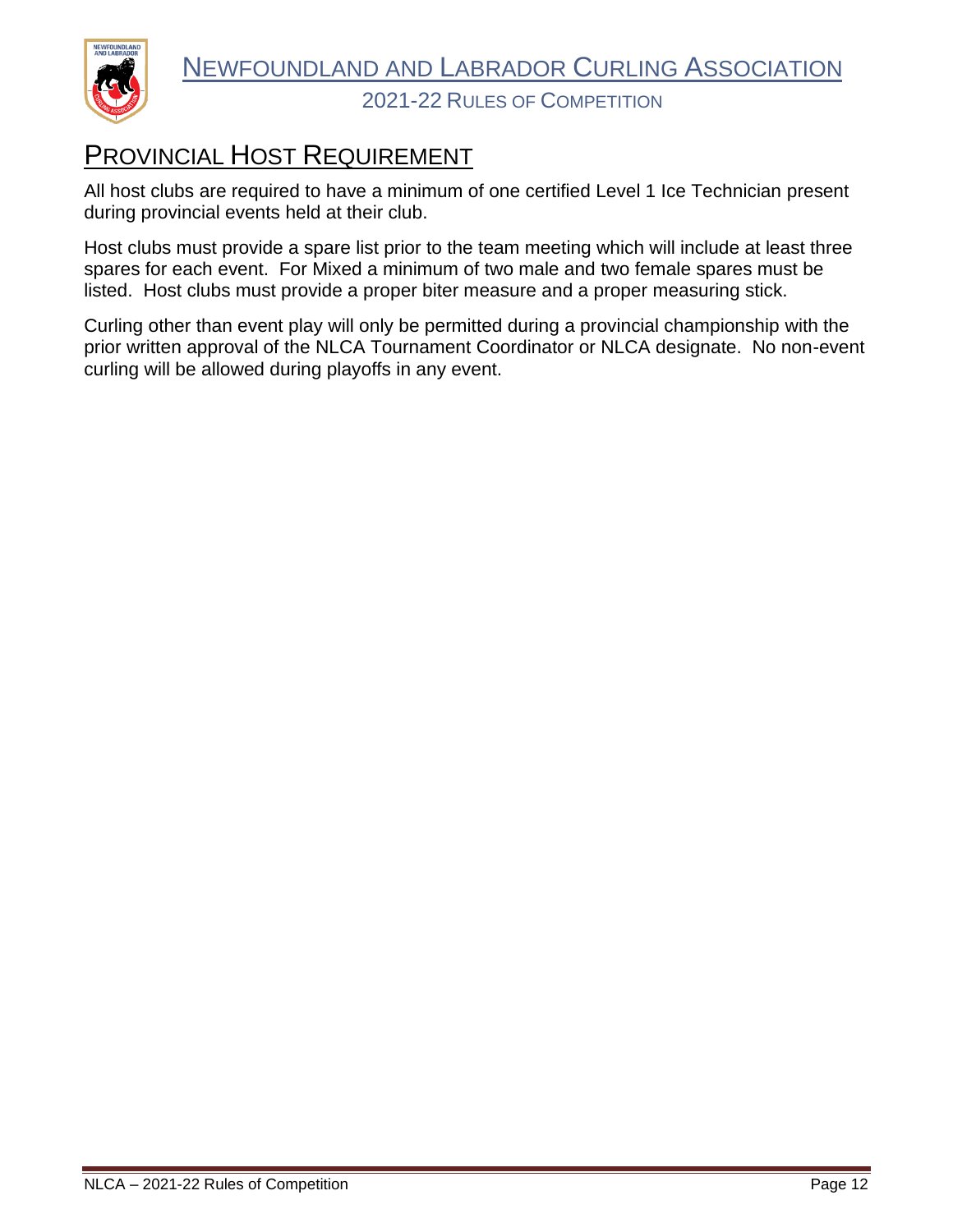

# <span id="page-13-0"></span>PROVINCIAL HOST REQUIREMENT

All host clubs are required to have a minimum of one certified Level 1 Ice Technician present during provincial events held at their club.

Host clubs must provide a spare list prior to the team meeting which will include at least three spares for each event. For Mixed a minimum of two male and two female spares must be listed. Host clubs must provide a proper biter measure and a proper measuring stick.

Curling other than event play will only be permitted during a provincial championship with the prior written approval of the NLCA Tournament Coordinator or NLCA designate. No non-event curling will be allowed during playoffs in any event.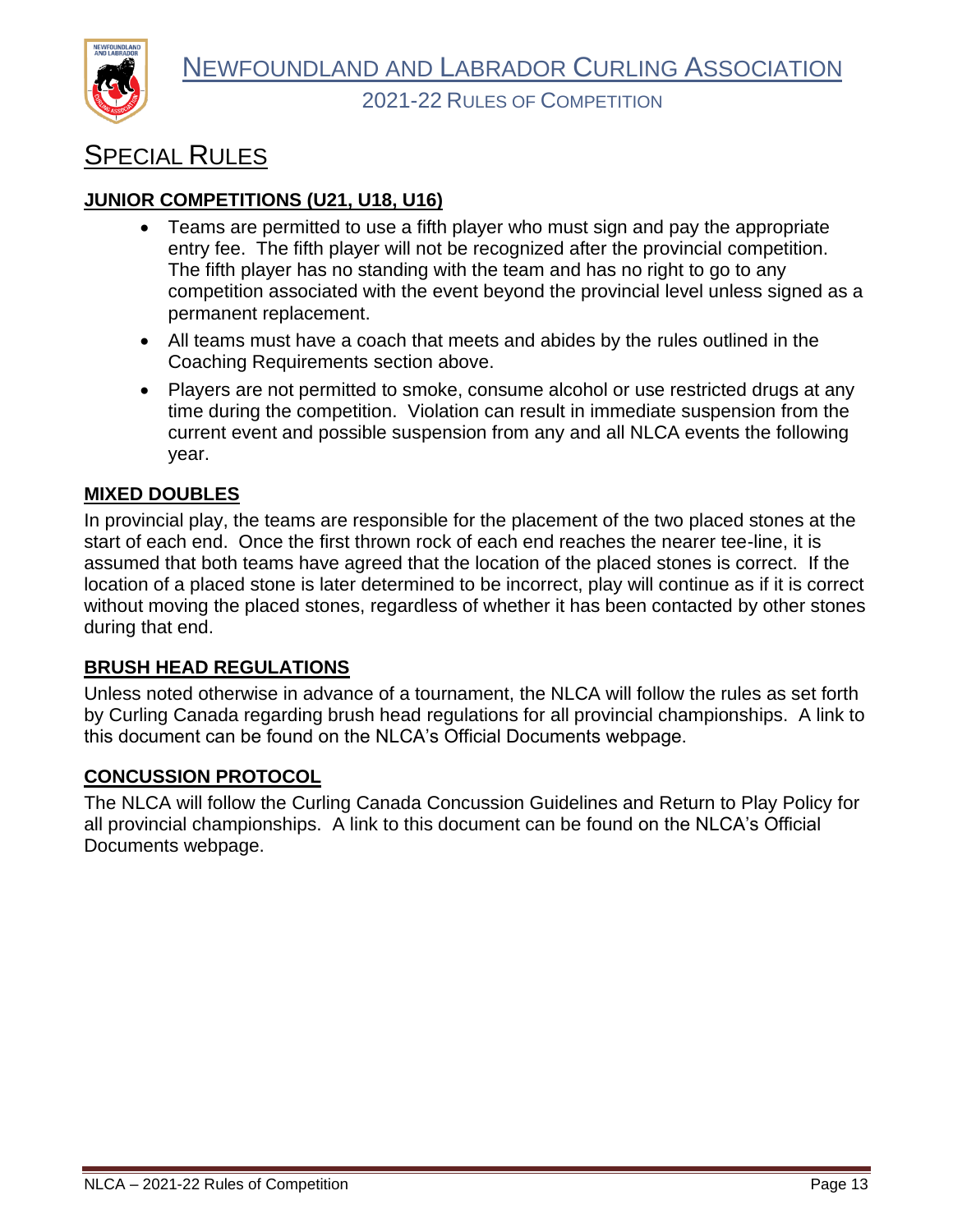

# <span id="page-14-0"></span>SPECIAL RULES

#### <span id="page-14-1"></span>**JUNIOR COMPETITIONS (U21, U18, U16)**

- Teams are permitted to use a fifth player who must sign and pay the appropriate entry fee. The fifth player will not be recognized after the provincial competition. The fifth player has no standing with the team and has no right to go to any competition associated with the event beyond the provincial level unless signed as a permanent replacement.
- All teams must have a coach that meets and abides by the rules outlined in the Coaching Requirements section above.
- Players are not permitted to smoke, consume alcohol or use restricted drugs at any time during the competition. Violation can result in immediate suspension from the current event and possible suspension from any and all NLCA events the following year.

#### <span id="page-14-2"></span>**MIXED DOUBLES**

In provincial play, the teams are responsible for the placement of the two placed stones at the start of each end. Once the first thrown rock of each end reaches the nearer tee-line, it is assumed that both teams have agreed that the location of the placed stones is correct. If the location of a placed stone is later determined to be incorrect, play will continue as if it is correct without moving the placed stones, regardless of whether it has been contacted by other stones during that end.

#### <span id="page-14-3"></span>**BRUSH HEAD REGULATIONS**

Unless noted otherwise in advance of a tournament, the NLCA will follow the rules as set forth by Curling Canada regarding brush head regulations for all provincial championships. A link to this document can be found on the NLCA's Official Documents webpage.

#### <span id="page-14-4"></span>**CONCUSSION PROTOCOL**

The NLCA will follow the Curling Canada Concussion Guidelines and Return to Play Policy for all provincial championships. A link to this document can be found on the NLCA's Official Documents webpage.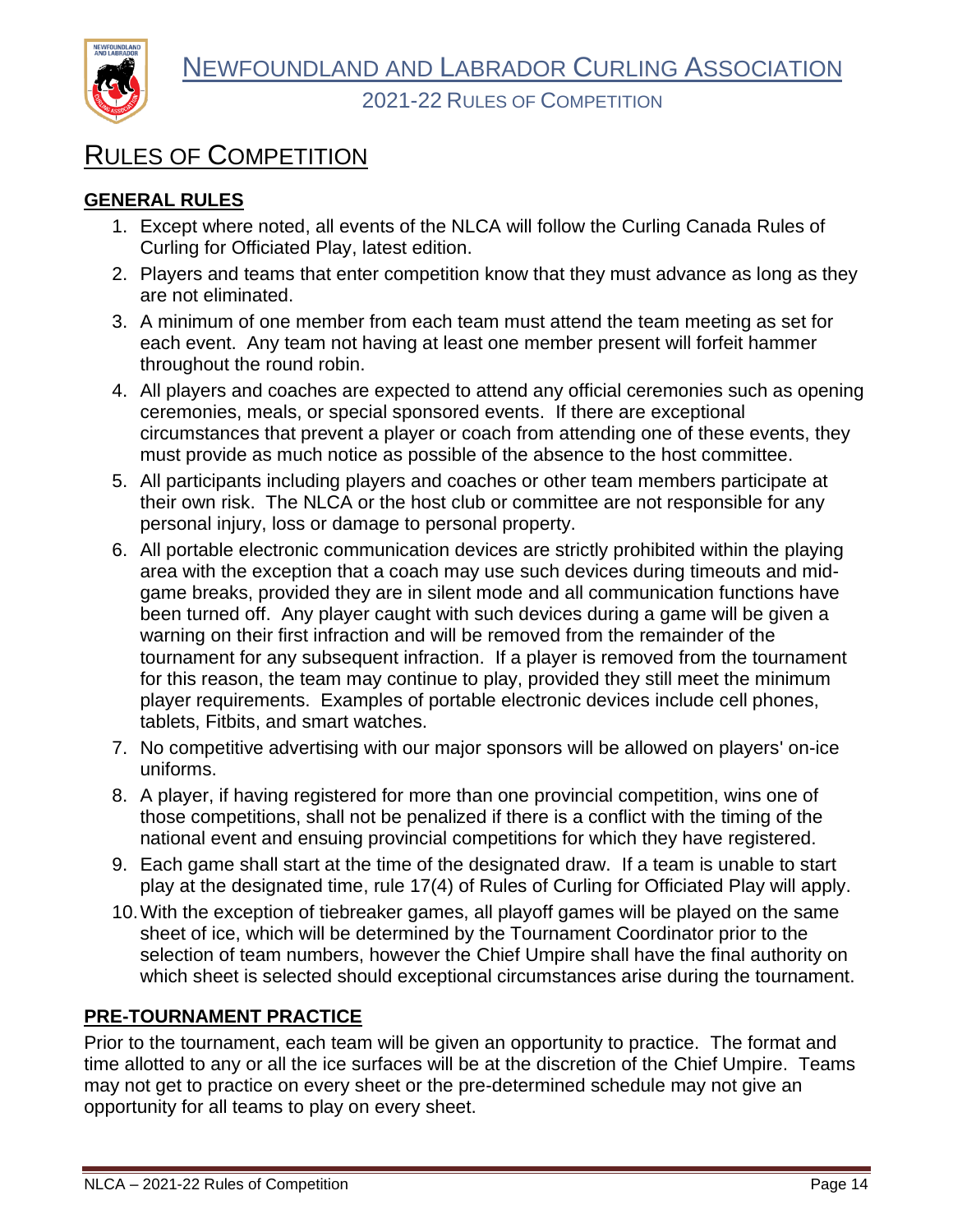

# <span id="page-15-0"></span>RULES OF COMPETITION

## <span id="page-15-1"></span>**GENERAL RULES**

- 1. Except where noted, all events of the NLCA will follow the Curling Canada Rules of Curling for Officiated Play, latest edition.
- 2. Players and teams that enter competition know that they must advance as long as they are not eliminated.
- 3. A minimum of one member from each team must attend the team meeting as set for each event. Any team not having at least one member present will forfeit hammer throughout the round robin.
- 4. All players and coaches are expected to attend any official ceremonies such as opening ceremonies, meals, or special sponsored events. If there are exceptional circumstances that prevent a player or coach from attending one of these events, they must provide as much notice as possible of the absence to the host committee.
- 5. All participants including players and coaches or other team members participate at their own risk. The NLCA or the host club or committee are not responsible for any personal injury, loss or damage to personal property.
- 6. All portable electronic communication devices are strictly prohibited within the playing area with the exception that a coach may use such devices during timeouts and midgame breaks, provided they are in silent mode and all communication functions have been turned off. Any player caught with such devices during a game will be given a warning on their first infraction and will be removed from the remainder of the tournament for any subsequent infraction. If a player is removed from the tournament for this reason, the team may continue to play, provided they still meet the minimum player requirements. Examples of portable electronic devices include cell phones, tablets, Fitbits, and smart watches.
- 7. No competitive advertising with our major sponsors will be allowed on players' on-ice uniforms.
- 8. A player, if having registered for more than one provincial competition, wins one of those competitions, shall not be penalized if there is a conflict with the timing of the national event and ensuing provincial competitions for which they have registered.
- 9. Each game shall start at the time of the designated draw. If a team is unable to start play at the designated time, rule 17(4) of Rules of Curling for Officiated Play will apply.
- 10.With the exception of tiebreaker games, all playoff games will be played on the same sheet of ice, which will be determined by the Tournament Coordinator prior to the selection of team numbers, however the Chief Umpire shall have the final authority on which sheet is selected should exceptional circumstances arise during the tournament.

# <span id="page-15-2"></span>**PRE-TOURNAMENT PRACTICE**

Prior to the tournament, each team will be given an opportunity to practice. The format and time allotted to any or all the ice surfaces will be at the discretion of the Chief Umpire. Teams may not get to practice on every sheet or the pre-determined schedule may not give an opportunity for all teams to play on every sheet.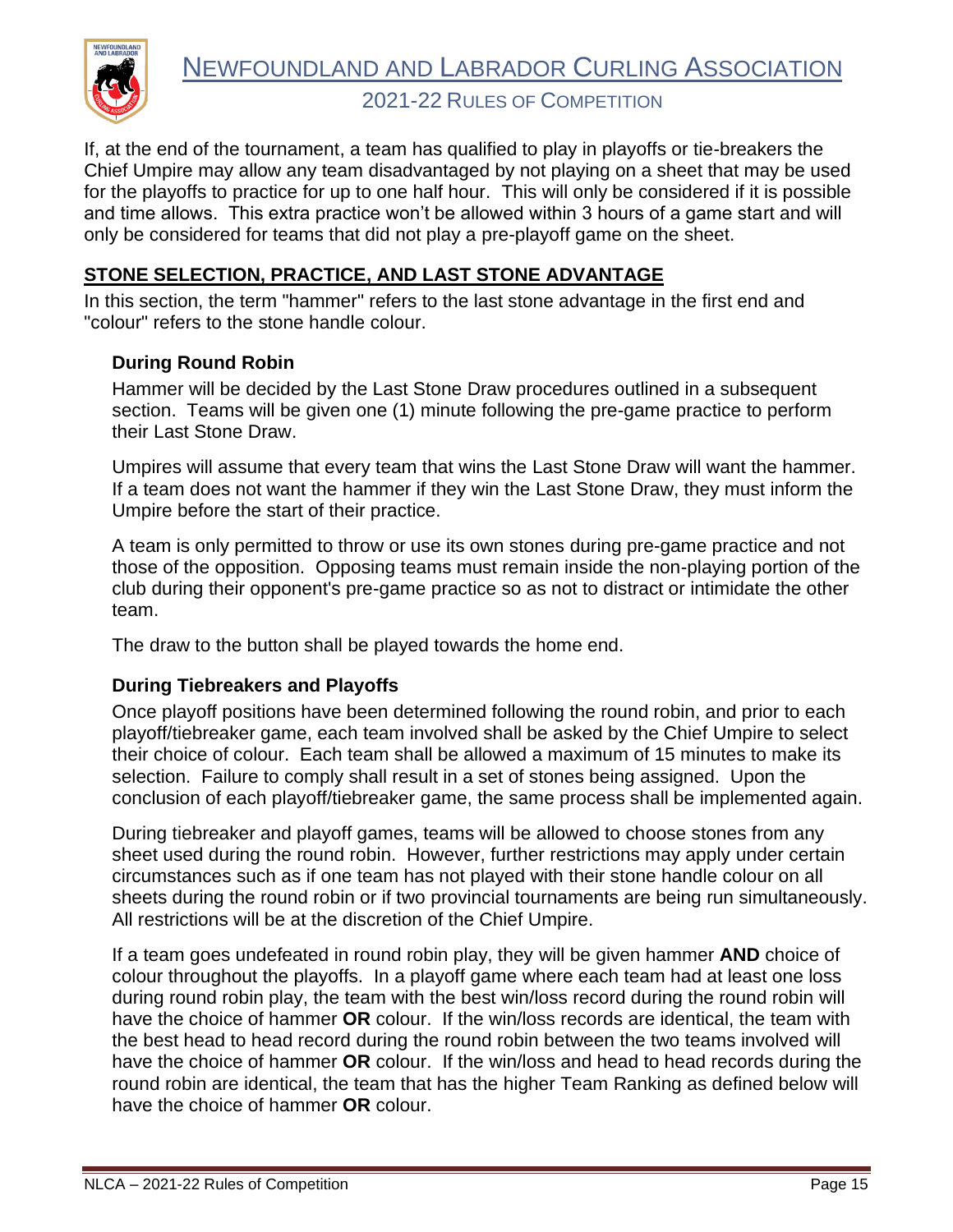

2021-22 RULES OF COMPETITION

If, at the end of the tournament, a team has qualified to play in playoffs or tie-breakers the Chief Umpire may allow any team disadvantaged by not playing on a sheet that may be used for the playoffs to practice for up to one half hour. This will only be considered if it is possible and time allows. This extra practice won't be allowed within 3 hours of a game start and will only be considered for teams that did not play a pre-playoff game on the sheet.

#### <span id="page-16-0"></span>**STONE SELECTION, PRACTICE, AND LAST STONE ADVANTAGE**

In this section, the term "hammer" refers to the last stone advantage in the first end and "colour" refers to the stone handle colour.

#### <span id="page-16-1"></span>**During Round Robin**

Hammer will be decided by the Last Stone Draw procedures outlined in a subsequent section. Teams will be given one (1) minute following the pre-game practice to perform their Last Stone Draw.

Umpires will assume that every team that wins the Last Stone Draw will want the hammer. If a team does not want the hammer if they win the Last Stone Draw, they must inform the Umpire before the start of their practice.

A team is only permitted to throw or use its own stones during pre-game practice and not those of the opposition. Opposing teams must remain inside the non-playing portion of the club during their opponent's pre-game practice so as not to distract or intimidate the other team.

The draw to the button shall be played towards the home end.

#### <span id="page-16-2"></span>**During Tiebreakers and Playoffs**

Once playoff positions have been determined following the round robin, and prior to each playoff/tiebreaker game, each team involved shall be asked by the Chief Umpire to select their choice of colour. Each team shall be allowed a maximum of 15 minutes to make its selection. Failure to comply shall result in a set of stones being assigned. Upon the conclusion of each playoff/tiebreaker game, the same process shall be implemented again.

During tiebreaker and playoff games, teams will be allowed to choose stones from any sheet used during the round robin. However, further restrictions may apply under certain circumstances such as if one team has not played with their stone handle colour on all sheets during the round robin or if two provincial tournaments are being run simultaneously. All restrictions will be at the discretion of the Chief Umpire.

If a team goes undefeated in round robin play, they will be given hammer **AND** choice of colour throughout the playoffs. In a playoff game where each team had at least one loss during round robin play, the team with the best win/loss record during the round robin will have the choice of hammer **OR** colour. If the win/loss records are identical, the team with the best head to head record during the round robin between the two teams involved will have the choice of hammer **OR** colour. If the win/loss and head to head records during the round robin are identical, the team that has the higher Team Ranking as defined below will have the choice of hammer **OR** colour.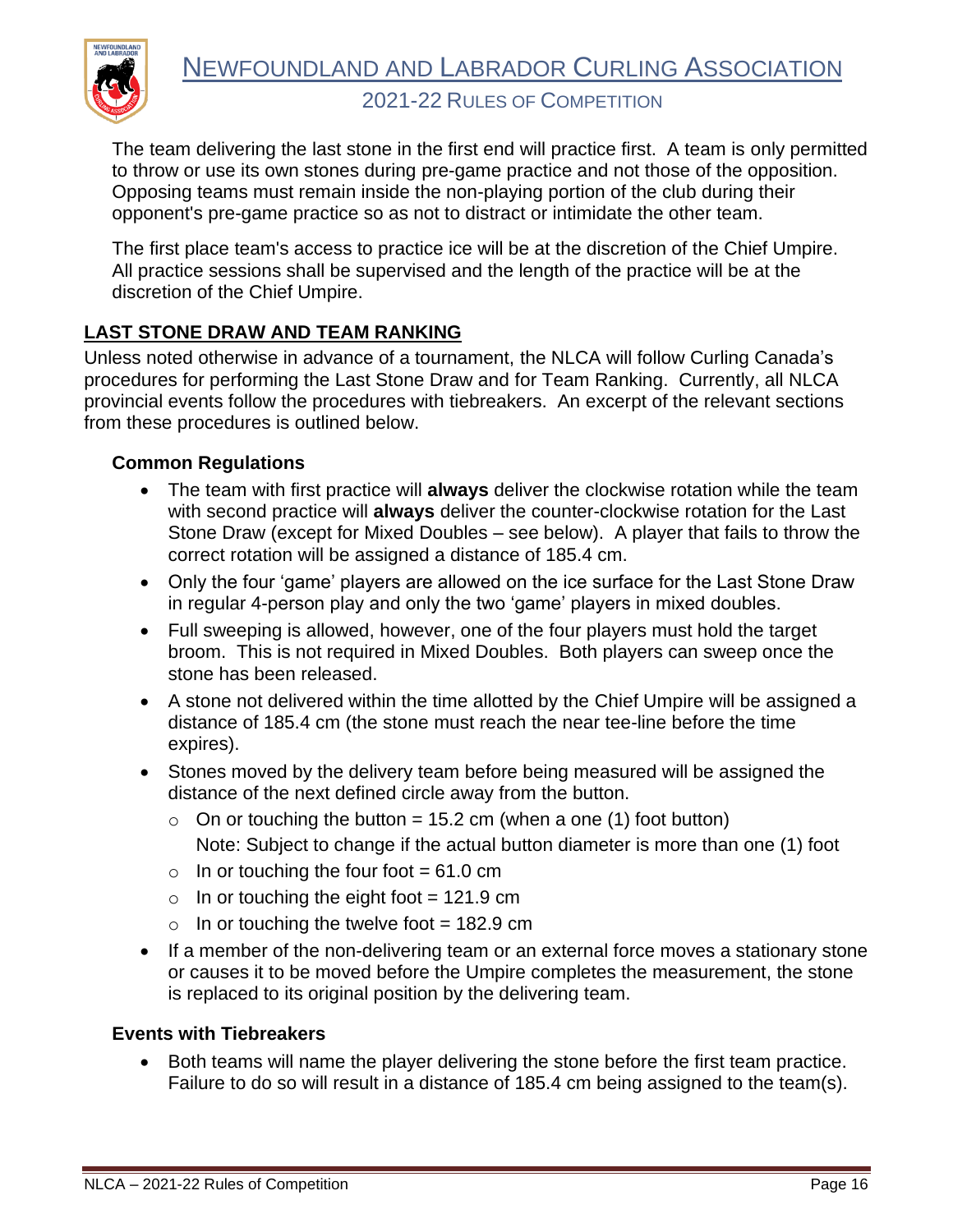

The team delivering the last stone in the first end will practice first. A team is only permitted to throw or use its own stones during pre-game practice and not those of the opposition. Opposing teams must remain inside the non-playing portion of the club during their opponent's pre-game practice so as not to distract or intimidate the other team.

The first place team's access to practice ice will be at the discretion of the Chief Umpire. All practice sessions shall be supervised and the length of the practice will be at the discretion of the Chief Umpire.

## <span id="page-17-0"></span>**LAST STONE DRAW AND TEAM RANKING**

Unless noted otherwise in advance of a tournament, the NLCA will follow Curling Canada's procedures for performing the Last Stone Draw and for Team Ranking. Currently, all NLCA provincial events follow the procedures with tiebreakers. An excerpt of the relevant sections from these procedures is outlined below.

#### <span id="page-17-1"></span>**Common Regulations**

- The team with first practice will **always** deliver the clockwise rotation while the team with second practice will **always** deliver the counter-clockwise rotation for the Last Stone Draw (except for Mixed Doubles – see below). A player that fails to throw the correct rotation will be assigned a distance of 185.4 cm.
- Only the four 'game' players are allowed on the ice surface for the Last Stone Draw in regular 4-person play and only the two 'game' players in mixed doubles.
- Full sweeping is allowed, however, one of the four players must hold the target broom. This is not required in Mixed Doubles. Both players can sweep once the stone has been released.
- A stone not delivered within the time allotted by the Chief Umpire will be assigned a distance of 185.4 cm (the stone must reach the near tee-line before the time expires).
- Stones moved by the delivery team before being measured will be assigned the distance of the next defined circle away from the button.
	- $\circ$  On or touching the button = 15.2 cm (when a one (1) foot button) Note: Subject to change if the actual button diameter is more than one (1) foot
	- $\circ$  In or touching the four foot = 61.0 cm
	- $\circ$  In or touching the eight foot = 121.9 cm
	- $\circ$  In or touching the twelve foot = 182.9 cm
- If a member of the non-delivering team or an external force moves a stationary stone or causes it to be moved before the Umpire completes the measurement, the stone is replaced to its original position by the delivering team.

#### <span id="page-17-2"></span>**Events with Tiebreakers**

• Both teams will name the player delivering the stone before the first team practice. Failure to do so will result in a distance of 185.4 cm being assigned to the team(s).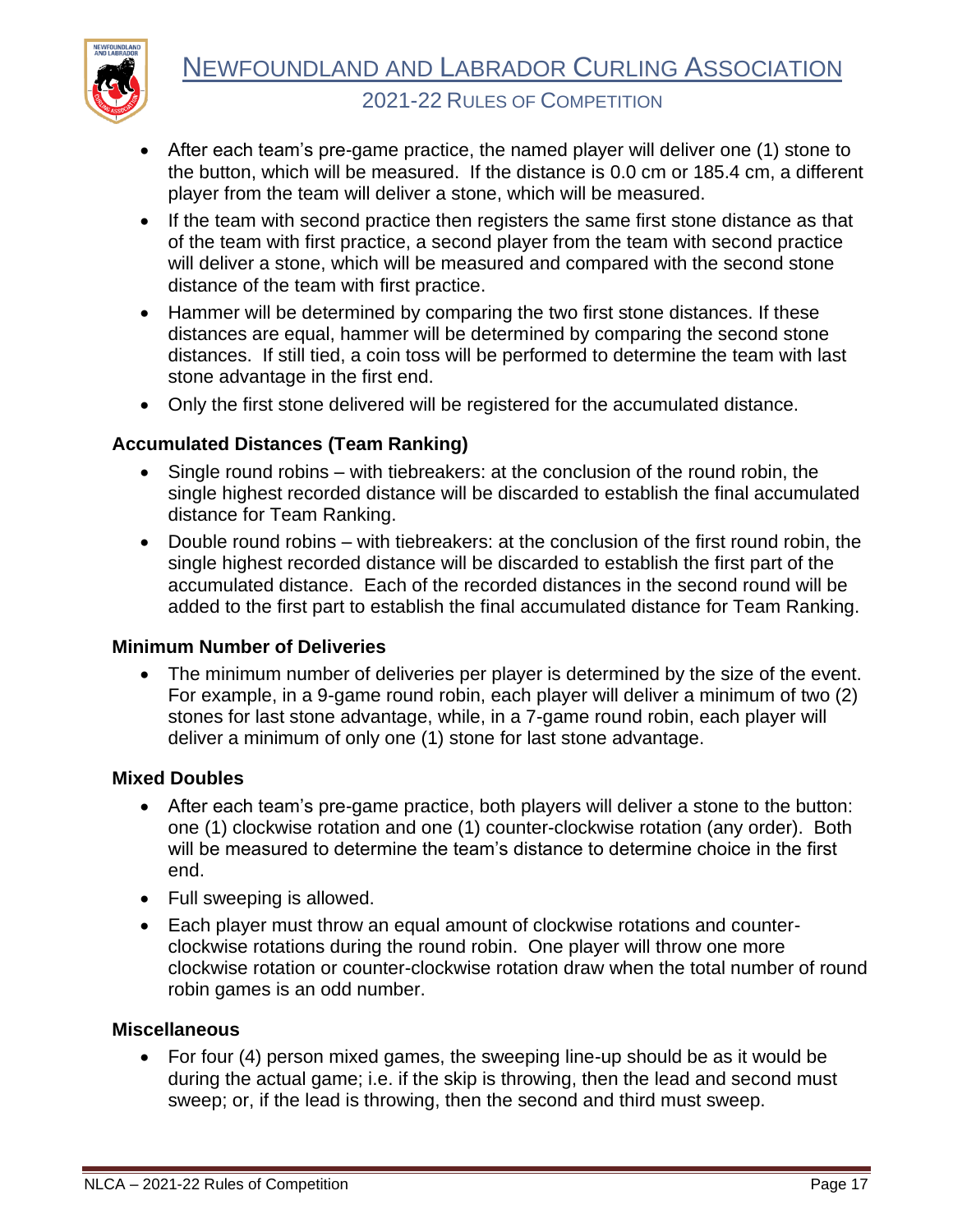

- After each team's pre-game practice, the named player will deliver one (1) stone to the button, which will be measured. If the distance is 0.0 cm or 185.4 cm, a different player from the team will deliver a stone, which will be measured.
- If the team with second practice then registers the same first stone distance as that of the team with first practice, a second player from the team with second practice will deliver a stone, which will be measured and compared with the second stone distance of the team with first practice.
- Hammer will be determined by comparing the two first stone distances. If these distances are equal, hammer will be determined by comparing the second stone distances. If still tied, a coin toss will be performed to determine the team with last stone advantage in the first end.
- Only the first stone delivered will be registered for the accumulated distance.

#### <span id="page-18-0"></span>**Accumulated Distances (Team Ranking)**

- Single round robins with tiebreakers: at the conclusion of the round robin, the single highest recorded distance will be discarded to establish the final accumulated distance for Team Ranking.
- Double round robins with tiebreakers: at the conclusion of the first round robin, the single highest recorded distance will be discarded to establish the first part of the accumulated distance. Each of the recorded distances in the second round will be added to the first part to establish the final accumulated distance for Team Ranking.

#### <span id="page-18-1"></span>**Minimum Number of Deliveries**

• The minimum number of deliveries per player is determined by the size of the event. For example, in a 9-game round robin, each player will deliver a minimum of two (2) stones for last stone advantage, while, in a 7-game round robin, each player will deliver a minimum of only one (1) stone for last stone advantage.

#### <span id="page-18-2"></span>**Mixed Doubles**

- After each team's pre-game practice, both players will deliver a stone to the button: one (1) clockwise rotation and one (1) counter-clockwise rotation (any order). Both will be measured to determine the team's distance to determine choice in the first end.
- Full sweeping is allowed.
- Each player must throw an equal amount of clockwise rotations and counterclockwise rotations during the round robin. One player will throw one more clockwise rotation or counter-clockwise rotation draw when the total number of round robin games is an odd number.

#### <span id="page-18-3"></span>**Miscellaneous**

• For four (4) person mixed games, the sweeping line-up should be as it would be during the actual game; i.e. if the skip is throwing, then the lead and second must sweep; or, if the lead is throwing, then the second and third must sweep.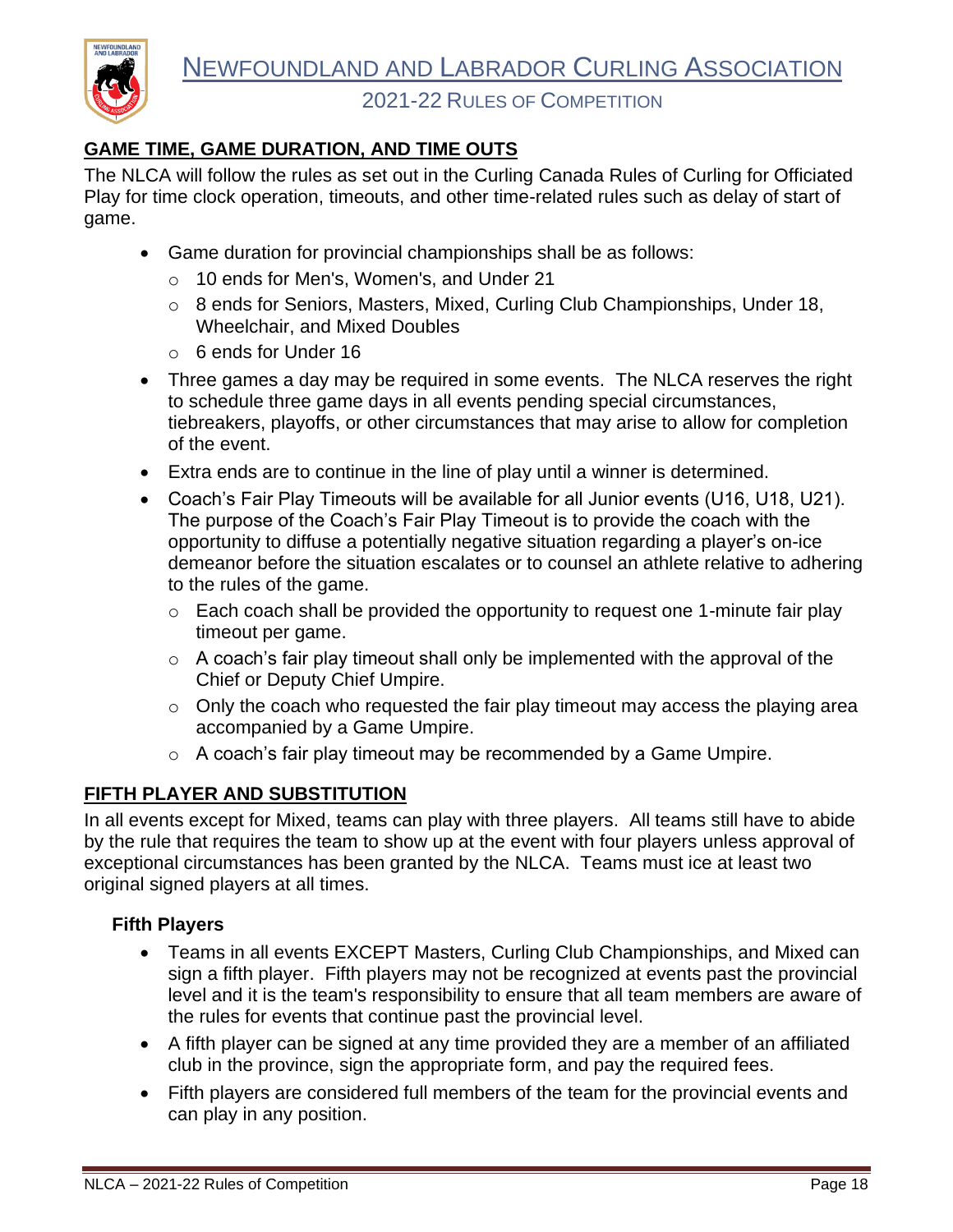### <span id="page-19-0"></span>**GAME TIME, GAME DURATION, AND TIME OUTS**

**NEWFOUNDLAN** 

The NLCA will follow the rules as set out in the Curling Canada Rules of Curling for Officiated Play for time clock operation, timeouts, and other time-related rules such as delay of start of game.

- Game duration for provincial championships shall be as follows:
	- o 10 ends for Men's, Women's, and Under 21
	- o 8 ends for Seniors, Masters, Mixed, Curling Club Championships, Under 18, Wheelchair, and Mixed Doubles
	- o 6 ends for Under 16
- Three games a day may be required in some events. The NLCA reserves the right to schedule three game days in all events pending special circumstances, tiebreakers, playoffs, or other circumstances that may arise to allow for completion of the event.
- Extra ends are to continue in the line of play until a winner is determined.
- Coach's Fair Play Timeouts will be available for all Junior events (U16, U18, U21). The purpose of the Coach's Fair Play Timeout is to provide the coach with the opportunity to diffuse a potentially negative situation regarding a player's on-ice demeanor before the situation escalates or to counsel an athlete relative to adhering to the rules of the game.
	- $\circ$  Each coach shall be provided the opportunity to request one 1-minute fair play timeout per game.
	- $\circ$  A coach's fair play timeout shall only be implemented with the approval of the Chief or Deputy Chief Umpire.
	- $\circ$  Only the coach who requested the fair play timeout may access the playing area accompanied by a Game Umpire.
	- o A coach's fair play timeout may be recommended by a Game Umpire.

#### <span id="page-19-1"></span>**FIFTH PLAYER AND SUBSTITUTION**

In all events except for Mixed, teams can play with three players. All teams still have to abide by the rule that requires the team to show up at the event with four players unless approval of exceptional circumstances has been granted by the NLCA. Teams must ice at least two original signed players at all times.

#### <span id="page-19-2"></span>**Fifth Players**

- Teams in all events EXCEPT Masters, Curling Club Championships, and Mixed can sign a fifth player. Fifth players may not be recognized at events past the provincial level and it is the team's responsibility to ensure that all team members are aware of the rules for events that continue past the provincial level.
- A fifth player can be signed at any time provided they are a member of an affiliated club in the province, sign the appropriate form, and pay the required fees.
- Fifth players are considered full members of the team for the provincial events and can play in any position.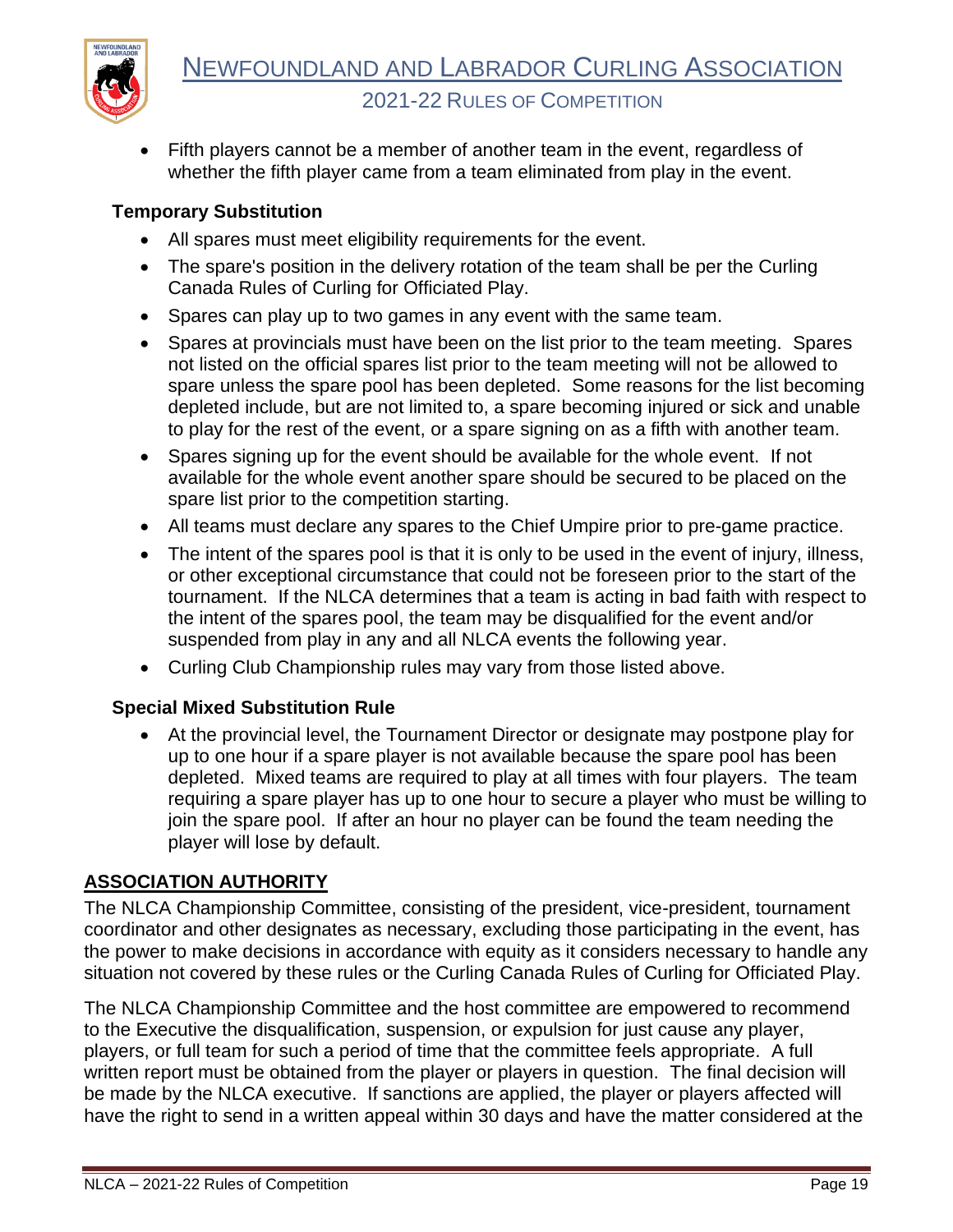

• Fifth players cannot be a member of another team in the event, regardless of whether the fifth player came from a team eliminated from play in the event.

#### <span id="page-20-0"></span>**Temporary Substitution**

- All spares must meet eligibility requirements for the event.
- The spare's position in the delivery rotation of the team shall be per the Curling Canada Rules of Curling for Officiated Play.
- Spares can play up to two games in any event with the same team.
- Spares at provincials must have been on the list prior to the team meeting. Spares not listed on the official spares list prior to the team meeting will not be allowed to spare unless the spare pool has been depleted. Some reasons for the list becoming depleted include, but are not limited to, a spare becoming injured or sick and unable to play for the rest of the event, or a spare signing on as a fifth with another team.
- Spares signing up for the event should be available for the whole event. If not available for the whole event another spare should be secured to be placed on the spare list prior to the competition starting.
- All teams must declare any spares to the Chief Umpire prior to pre-game practice.
- The intent of the spares pool is that it is only to be used in the event of injury, illness, or other exceptional circumstance that could not be foreseen prior to the start of the tournament. If the NLCA determines that a team is acting in bad faith with respect to the intent of the spares pool, the team may be disqualified for the event and/or suspended from play in any and all NLCA events the following year.
- Curling Club Championship rules may vary from those listed above.

#### <span id="page-20-1"></span>**Special Mixed Substitution Rule**

• At the provincial level, the Tournament Director or designate may postpone play for up to one hour if a spare player is not available because the spare pool has been depleted. Mixed teams are required to play at all times with four players. The team requiring a spare player has up to one hour to secure a player who must be willing to join the spare pool. If after an hour no player can be found the team needing the player will lose by default.

#### <span id="page-20-2"></span>**ASSOCIATION AUTHORITY**

The NLCA Championship Committee, consisting of the president, vice-president, tournament coordinator and other designates as necessary, excluding those participating in the event, has the power to make decisions in accordance with equity as it considers necessary to handle any situation not covered by these rules or the Curling Canada Rules of Curling for Officiated Play.

The NLCA Championship Committee and the host committee are empowered to recommend to the Executive the disqualification, suspension, or expulsion for just cause any player, players, or full team for such a period of time that the committee feels appropriate. A full written report must be obtained from the player or players in question. The final decision will be made by the NLCA executive. If sanctions are applied, the player or players affected will have the right to send in a written appeal within 30 days and have the matter considered at the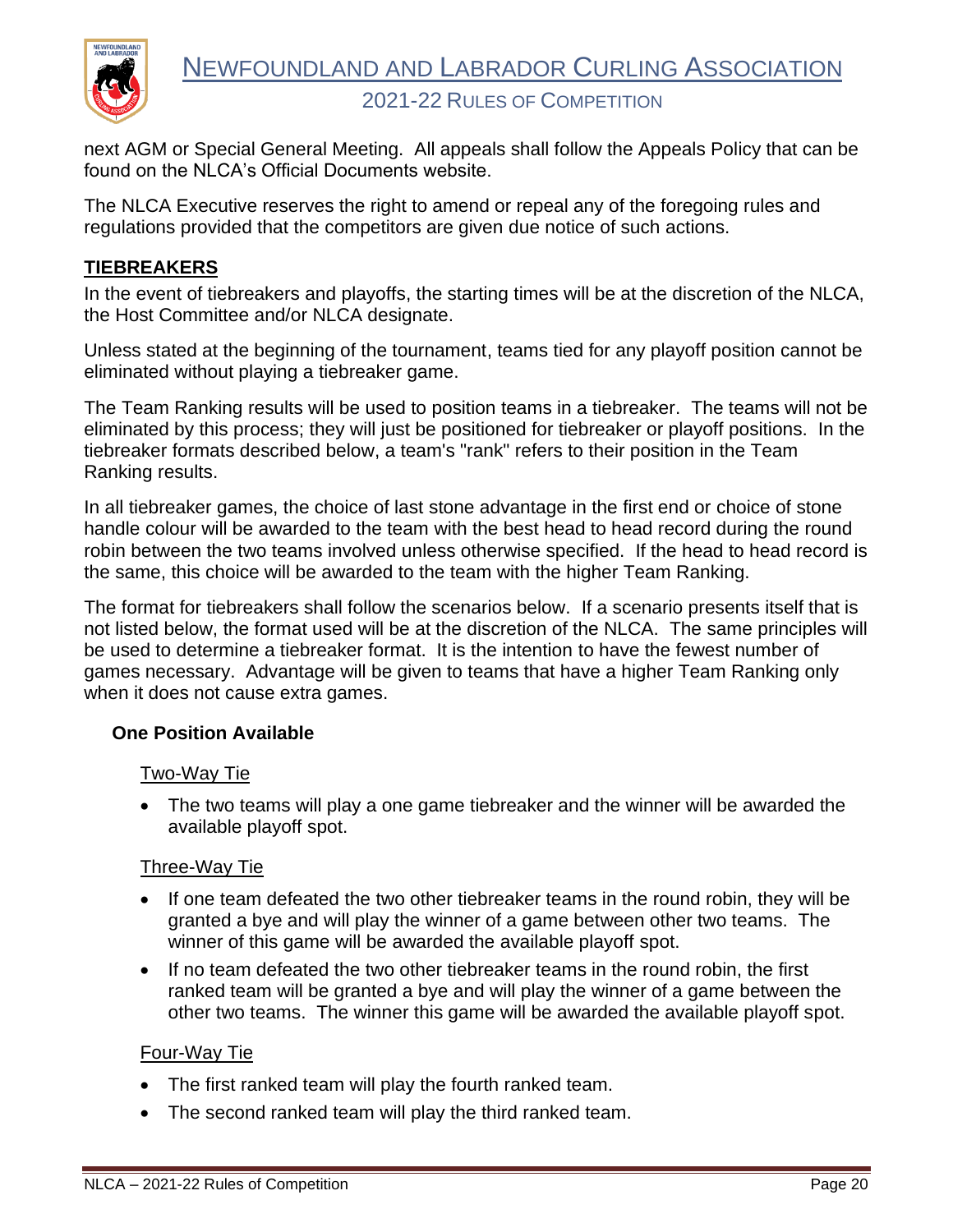

next AGM or Special General Meeting. All appeals shall follow the Appeals Policy that can be found on the NLCA's Official Documents website.

The NLCA Executive reserves the right to amend or repeal any of the foregoing rules and regulations provided that the competitors are given due notice of such actions.

#### <span id="page-21-0"></span>**TIEBREAKERS**

In the event of tiebreakers and playoffs, the starting times will be at the discretion of the NLCA, the Host Committee and/or NLCA designate.

Unless stated at the beginning of the tournament, teams tied for any playoff position cannot be eliminated without playing a tiebreaker game.

The Team Ranking results will be used to position teams in a tiebreaker. The teams will not be eliminated by this process; they will just be positioned for tiebreaker or playoff positions. In the tiebreaker formats described below, a team's "rank" refers to their position in the Team Ranking results.

In all tiebreaker games, the choice of last stone advantage in the first end or choice of stone handle colour will be awarded to the team with the best head to head record during the round robin between the two teams involved unless otherwise specified. If the head to head record is the same, this choice will be awarded to the team with the higher Team Ranking.

The format for tiebreakers shall follow the scenarios below. If a scenario presents itself that is not listed below, the format used will be at the discretion of the NLCA. The same principles will be used to determine a tiebreaker format. It is the intention to have the fewest number of games necessary. Advantage will be given to teams that have a higher Team Ranking only when it does not cause extra games.

#### <span id="page-21-1"></span>**One Position Available**

#### Two-Way Tie

• The two teams will play a one game tiebreaker and the winner will be awarded the available playoff spot.

#### Three-Way Tie

- If one team defeated the two other tiebreaker teams in the round robin, they will be granted a bye and will play the winner of a game between other two teams. The winner of this game will be awarded the available playoff spot.
- If no team defeated the two other tiebreaker teams in the round robin, the first ranked team will be granted a bye and will play the winner of a game between the other two teams. The winner this game will be awarded the available playoff spot.

#### Four-Way Tie

- The first ranked team will play the fourth ranked team.
- The second ranked team will play the third ranked team.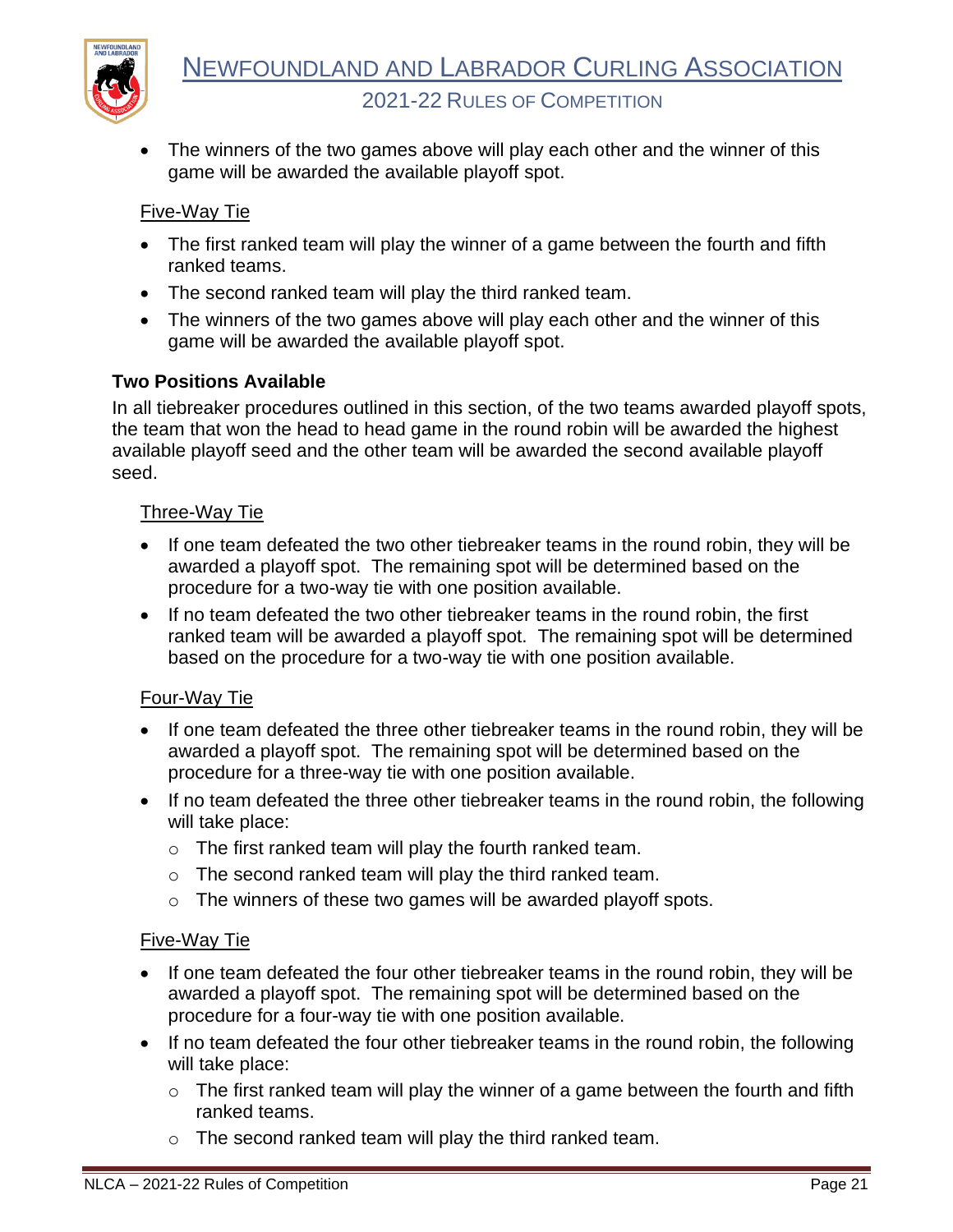

The winners of the two games above will play each other and the winner of this game will be awarded the available playoff spot.

#### Five-Way Tie

- The first ranked team will play the winner of a game between the fourth and fifth ranked teams.
- The second ranked team will play the third ranked team.
- The winners of the two games above will play each other and the winner of this game will be awarded the available playoff spot.

#### <span id="page-22-0"></span>**Two Positions Available**

In all tiebreaker procedures outlined in this section, of the two teams awarded playoff spots, the team that won the head to head game in the round robin will be awarded the highest available playoff seed and the other team will be awarded the second available playoff seed.

#### Three-Way Tie

- If one team defeated the two other tiebreaker teams in the round robin, they will be awarded a playoff spot. The remaining spot will be determined based on the procedure for a two-way tie with one position available.
- If no team defeated the two other tiebreaker teams in the round robin, the first ranked team will be awarded a playoff spot. The remaining spot will be determined based on the procedure for a two-way tie with one position available.

#### Four-Way Tie

- If one team defeated the three other tiebreaker teams in the round robin, they will be awarded a playoff spot. The remaining spot will be determined based on the procedure for a three-way tie with one position available.
- If no team defeated the three other tiebreaker teams in the round robin, the following will take place:
	- $\circ$  The first ranked team will play the fourth ranked team.
	- o The second ranked team will play the third ranked team.
	- o The winners of these two games will be awarded playoff spots.

#### Five-Way Tie

- If one team defeated the four other tiebreaker teams in the round robin, they will be awarded a playoff spot. The remaining spot will be determined based on the procedure for a four-way tie with one position available.
- If no team defeated the four other tiebreaker teams in the round robin, the following will take place:
	- $\circ$  The first ranked team will play the winner of a game between the fourth and fifth ranked teams.
	- o The second ranked team will play the third ranked team.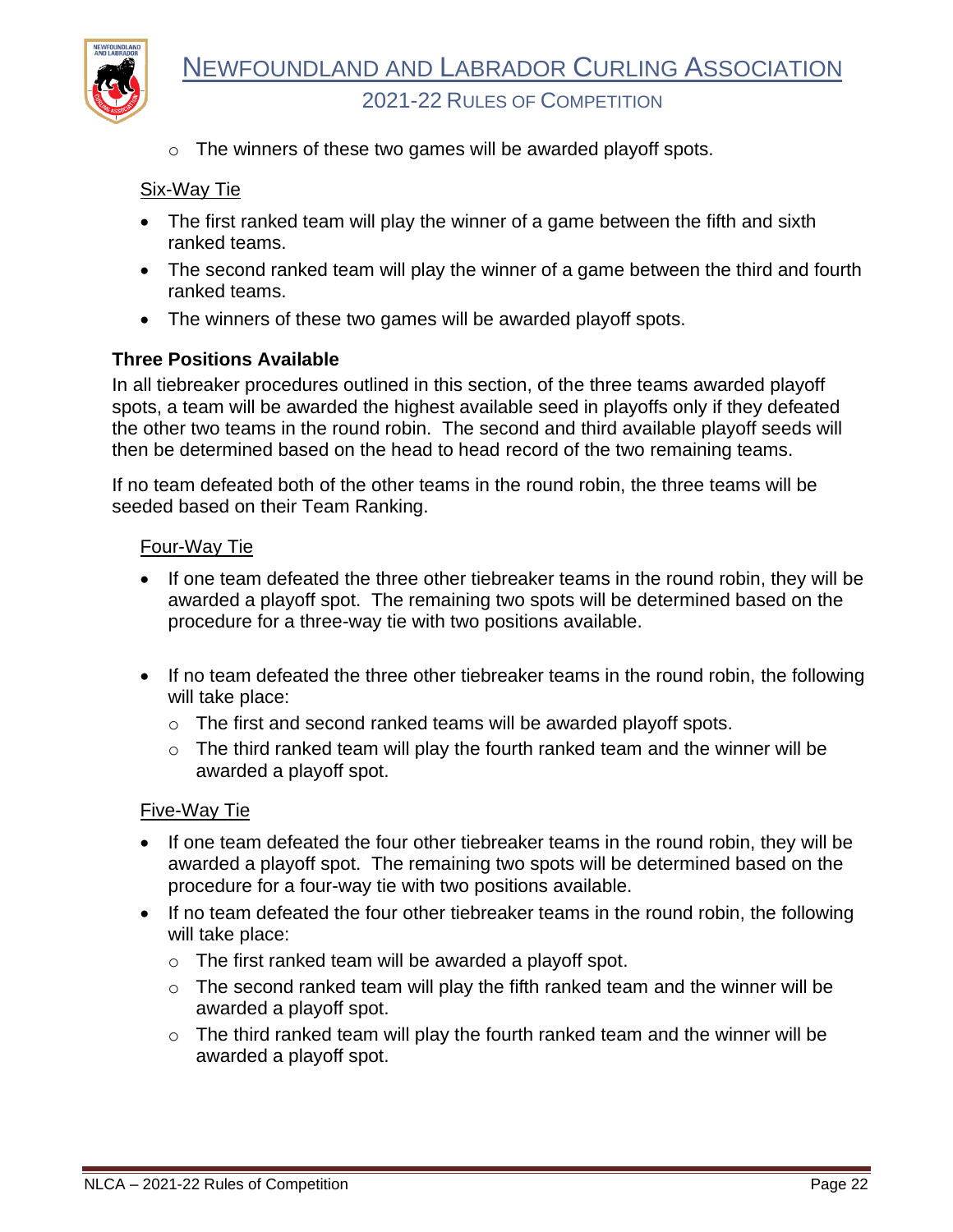

 $\circ$  The winners of these two games will be awarded playoff spots.

#### Six-Way Tie

- The first ranked team will play the winner of a game between the fifth and sixth ranked teams.
- The second ranked team will play the winner of a game between the third and fourth ranked teams.
- The winners of these two games will be awarded playoff spots.

#### <span id="page-23-0"></span>**Three Positions Available**

In all tiebreaker procedures outlined in this section, of the three teams awarded playoff spots, a team will be awarded the highest available seed in playoffs only if they defeated the other two teams in the round robin. The second and third available playoff seeds will then be determined based on the head to head record of the two remaining teams.

If no team defeated both of the other teams in the round robin, the three teams will be seeded based on their Team Ranking.

#### Four-Way Tie

- If one team defeated the three other tiebreaker teams in the round robin, they will be awarded a playoff spot. The remaining two spots will be determined based on the procedure for a three-way tie with two positions available.
- If no team defeated the three other tiebreaker teams in the round robin, the following will take place:
	- o The first and second ranked teams will be awarded playoff spots.
	- $\circ$  The third ranked team will play the fourth ranked team and the winner will be awarded a playoff spot.

#### Five-Way Tie

- If one team defeated the four other tiebreaker teams in the round robin, they will be awarded a playoff spot. The remaining two spots will be determined based on the procedure for a four-way tie with two positions available.
- If no team defeated the four other tiebreaker teams in the round robin, the following will take place:
	- $\circ$  The first ranked team will be awarded a playoff spot.
	- $\circ$  The second ranked team will play the fifth ranked team and the winner will be awarded a playoff spot.
	- $\circ$  The third ranked team will play the fourth ranked team and the winner will be awarded a playoff spot.